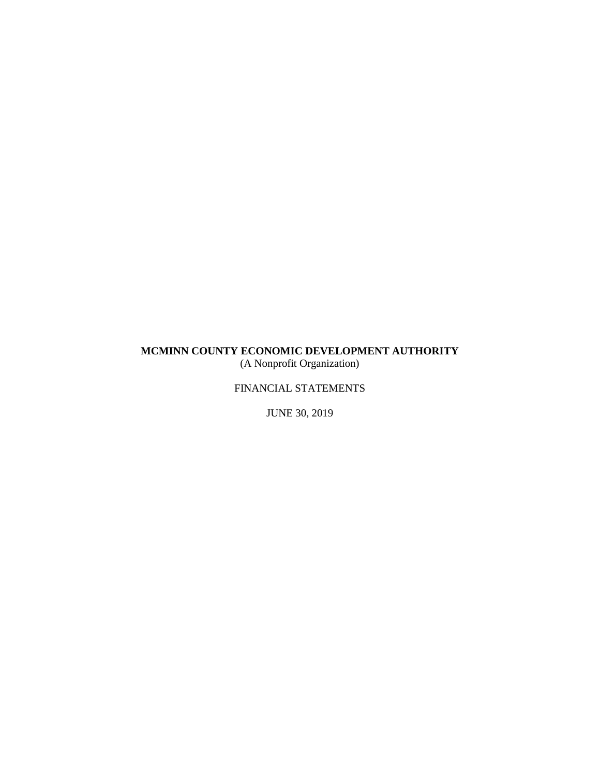#### **MCMINN COUNTY ECONOMIC DEVELOPMENT AUTHORITY** (A Nonprofit Organization)

FINANCIAL STATEMENTS

JUNE 30, 2019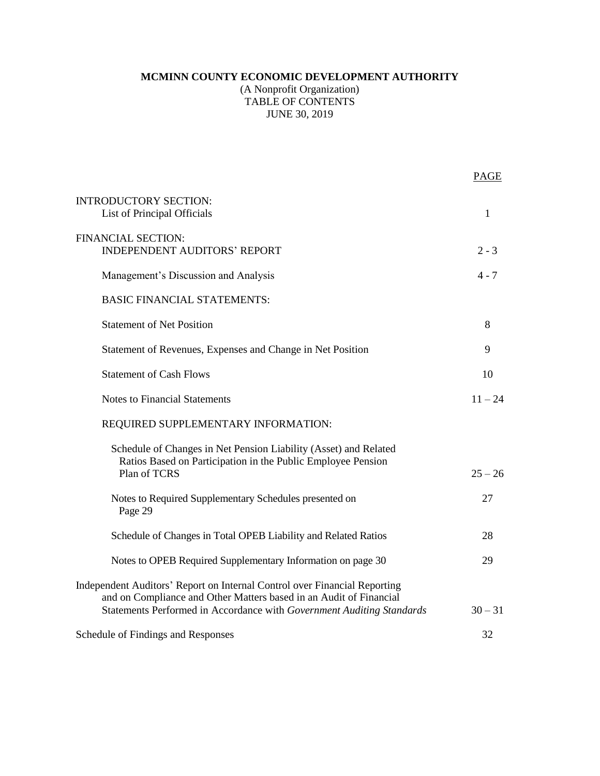#### (A Nonprofit Organization) TABLE OF CONTENTS JUNE 30, 2019

|                                                                                                                                                                                                                          | PAGE      |
|--------------------------------------------------------------------------------------------------------------------------------------------------------------------------------------------------------------------------|-----------|
| <b>INTRODUCTORY SECTION:</b><br>List of Principal Officials                                                                                                                                                              | 1         |
| FINANCIAL SECTION:<br>INDEPENDENT AUDITORS' REPORT                                                                                                                                                                       | $2 - 3$   |
| Management's Discussion and Analysis                                                                                                                                                                                     | $4 - 7$   |
| <b>BASIC FINANCIAL STATEMENTS:</b>                                                                                                                                                                                       |           |
| <b>Statement of Net Position</b>                                                                                                                                                                                         | 8         |
| Statement of Revenues, Expenses and Change in Net Position                                                                                                                                                               | 9         |
| <b>Statement of Cash Flows</b>                                                                                                                                                                                           | 10        |
| <b>Notes to Financial Statements</b>                                                                                                                                                                                     | $11 - 24$ |
| REQUIRED SUPPLEMENTARY INFORMATION:                                                                                                                                                                                      |           |
| Schedule of Changes in Net Pension Liability (Asset) and Related<br>Ratios Based on Participation in the Public Employee Pension<br>Plan of TCRS                                                                         | $25 - 26$ |
| Notes to Required Supplementary Schedules presented on<br>Page 29                                                                                                                                                        | 27        |
| Schedule of Changes in Total OPEB Liability and Related Ratios                                                                                                                                                           | 28        |
| Notes to OPEB Required Supplementary Information on page 30                                                                                                                                                              | 29        |
| Independent Auditors' Report on Internal Control over Financial Reporting<br>and on Compliance and Other Matters based in an Audit of Financial<br>Statements Performed in Accordance with Government Auditing Standards | $30 - 31$ |
| Schedule of Findings and Responses                                                                                                                                                                                       | 32        |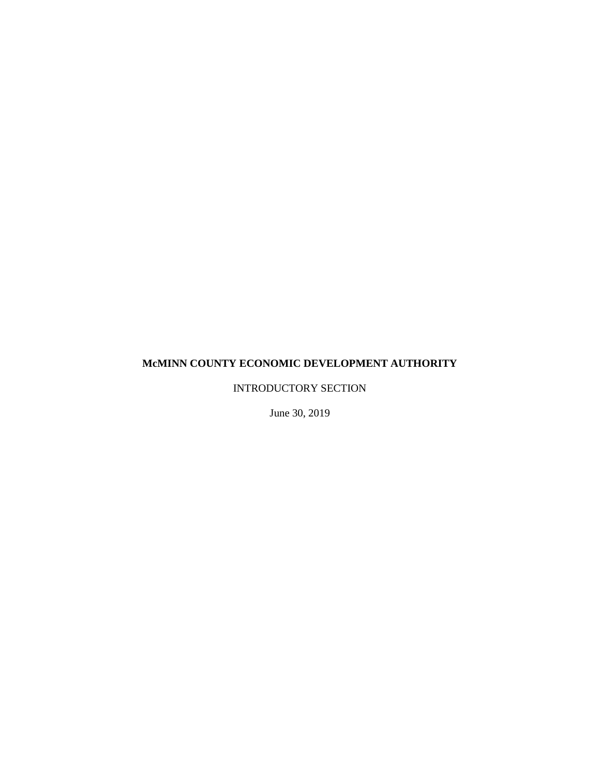INTRODUCTORY SECTION

June 30, 2019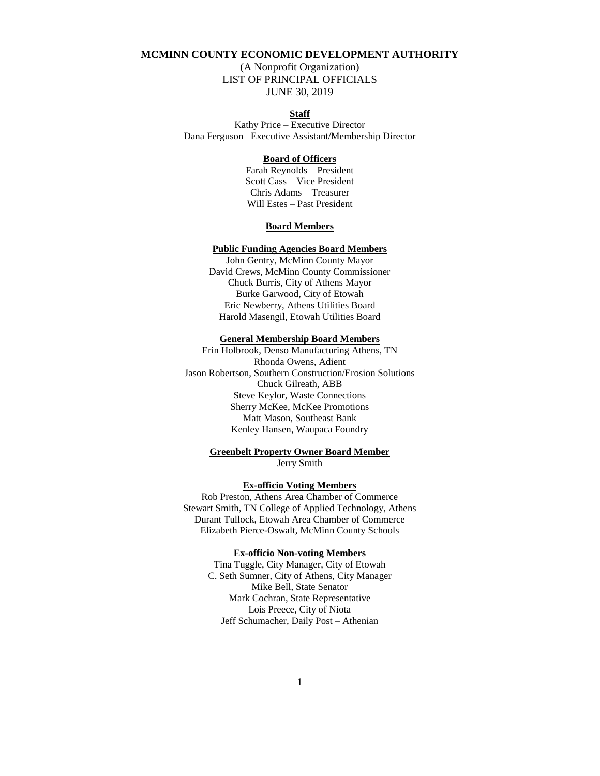(A Nonprofit Organization) LIST OF PRINCIPAL OFFICIALS JUNE 30, 2019

#### **Staff**

Kathy Price – Executive Director Dana Ferguson– Executive Assistant/Membership Director

#### **Board of Officers**

Farah Reynolds – President Scott Cass – Vice President Chris Adams – Treasurer Will Estes – Past President

#### **Board Members**

#### **Public Funding Agencies Board Members**

John Gentry, McMinn County Mayor David Crews, McMinn County Commissioner Chuck Burris, City of Athens Mayor Burke Garwood, City of Etowah Eric Newberry, Athens Utilities Board Harold Masengil, Etowah Utilities Board

#### **General Membership Board Members**

Erin Holbrook, Denso Manufacturing Athens, TN Rhonda Owens, Adient Jason Robertson, Southern Construction/Erosion Solutions Chuck Gilreath, ABB Steve Keylor, Waste Connections Sherry McKee, McKee Promotions Matt Mason, Southeast Bank Kenley Hansen, Waupaca Foundry

## **Greenbelt Property Owner Board Member**

Jerry Smith

#### **Ex-officio Voting Members**

Rob Preston, Athens Area Chamber of Commerce Stewart Smith, TN College of Applied Technology, Athens Durant Tullock, Etowah Area Chamber of Commerce Elizabeth Pierce-Oswalt, McMinn County Schools

#### **Ex-officio Non-voting Members**

Tina Tuggle, City Manager, City of Etowah C. Seth Sumner, City of Athens, City Manager Mike Bell, State Senator Mark Cochran, State Representative Lois Preece, City of Niota Jeff Schumacher, Daily Post – Athenian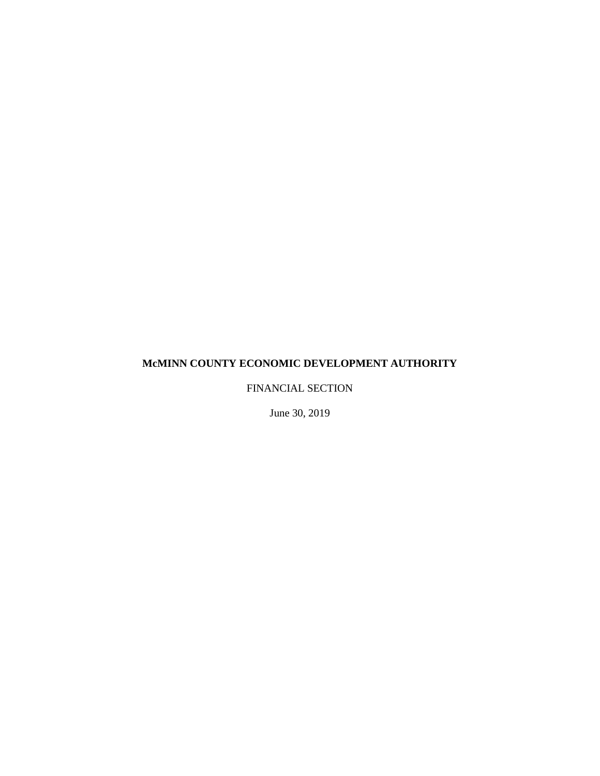FINANCIAL SECTION

June 30, 2019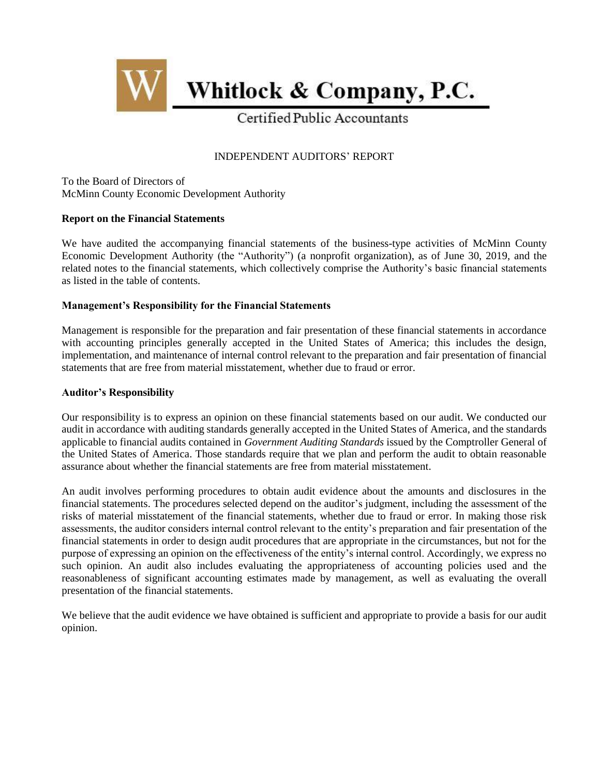

## Certified Public Accountants

## INDEPENDENT AUDITORS' REPORT

To the Board of Directors of McMinn County Economic Development Authority

## **Report on the Financial Statements**

We have audited the accompanying financial statements of the business-type activities of McMinn County Economic Development Authority (the "Authority") (a nonprofit organization), as of June 30, 2019, and the related notes to the financial statements, which collectively comprise the Authority's basic financial statements as listed in the table of contents.

## **Management's Responsibility for the Financial Statements**

Management is responsible for the preparation and fair presentation of these financial statements in accordance with accounting principles generally accepted in the United States of America; this includes the design, implementation, and maintenance of internal control relevant to the preparation and fair presentation of financial statements that are free from material misstatement, whether due to fraud or error.

## **Auditor's Responsibility**

Our responsibility is to express an opinion on these financial statements based on our audit. We conducted our audit in accordance with auditing standards generally accepted in the United States of America, and the standards applicable to financial audits contained in *Government Auditing Standards* issued by the Comptroller General of the United States of America. Those standards require that we plan and perform the audit to obtain reasonable assurance about whether the financial statements are free from material misstatement.

An audit involves performing procedures to obtain audit evidence about the amounts and disclosures in the financial statements. The procedures selected depend on the auditor's judgment, including the assessment of the risks of material misstatement of the financial statements, whether due to fraud or error. In making those risk assessments, the auditor considers internal control relevant to the entity's preparation and fair presentation of the financial statements in order to design audit procedures that are appropriate in the circumstances, but not for the purpose of expressing an opinion on the effectiveness of the entity's internal control. Accordingly, we express no such opinion. An audit also includes evaluating the appropriateness of accounting policies used and the reasonableness of significant accounting estimates made by management, as well as evaluating the overall presentation of the financial statements.

We believe that the audit evidence we have obtained is sufficient and appropriate to provide a basis for our audit opinion.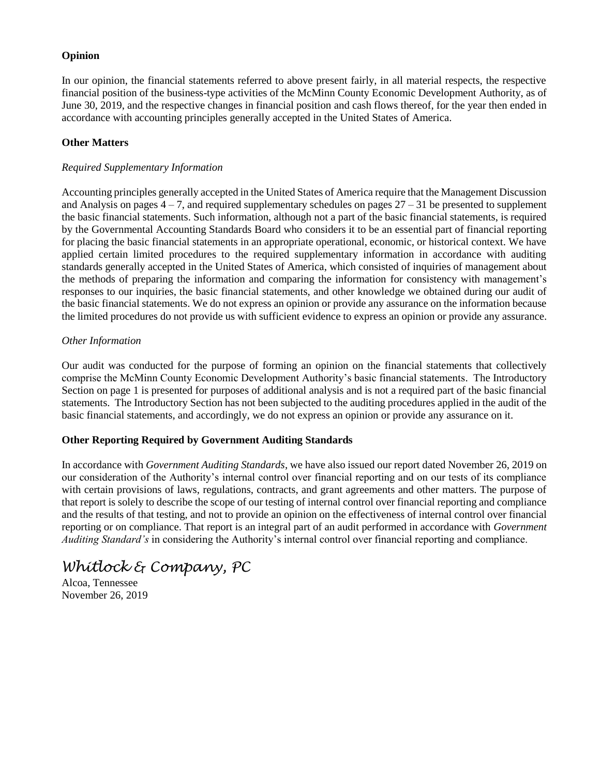## **Opinion**

In our opinion, the financial statements referred to above present fairly, in all material respects, the respective financial position of the business-type activities of the McMinn County Economic Development Authority, as of June 30, 2019, and the respective changes in financial position and cash flows thereof, for the year then ended in accordance with accounting principles generally accepted in the United States of America.

## **Other Matters**

## *Required Supplementary Information*

Accounting principles generally accepted in the United States of America require that the Management Discussion and Analysis on pages  $4 - 7$ , and required supplementary schedules on pages  $27 - 31$  be presented to supplement the basic financial statements. Such information, although not a part of the basic financial statements, is required by the Governmental Accounting Standards Board who considers it to be an essential part of financial reporting for placing the basic financial statements in an appropriate operational, economic, or historical context. We have applied certain limited procedures to the required supplementary information in accordance with auditing standards generally accepted in the United States of America, which consisted of inquiries of management about the methods of preparing the information and comparing the information for consistency with management's responses to our inquiries, the basic financial statements, and other knowledge we obtained during our audit of the basic financial statements. We do not express an opinion or provide any assurance on the information because the limited procedures do not provide us with sufficient evidence to express an opinion or provide any assurance.

## *Other Information*

Our audit was conducted for the purpose of forming an opinion on the financial statements that collectively comprise the McMinn County Economic Development Authority's basic financial statements. The Introductory Section on page 1 is presented for purposes of additional analysis and is not a required part of the basic financial statements. The Introductory Section has not been subjected to the auditing procedures applied in the audit of the basic financial statements, and accordingly, we do not express an opinion or provide any assurance on it.

## **Other Reporting Required by Government Auditing Standards**

In accordance with *Government Auditing Standards*, we have also issued our report dated November 26, 2019 on our consideration of the Authority's internal control over financial reporting and on our tests of its compliance with certain provisions of laws, regulations, contracts, and grant agreements and other matters. The purpose of that report is solely to describe the scope of our testing of internal control over financial reporting and compliance and the results of that testing, and not to provide an opinion on the effectiveness of internal control over financial reporting or on compliance. That report is an integral part of an audit performed in accordance with *Government Auditing Standard's* in considering the Authority's internal control over financial reporting and compliance.

# *Whitlock & Company, PC*

Alcoa, Tennessee November 26, 2019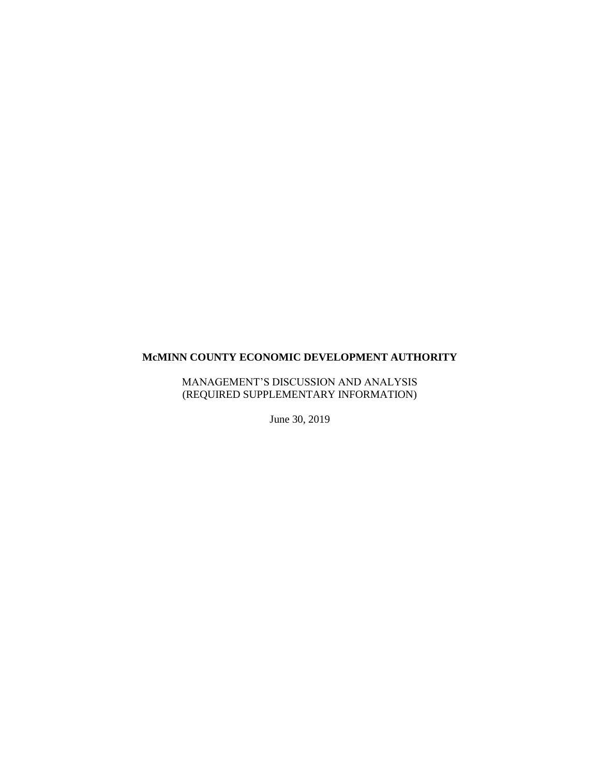MANAGEMENT'S DISCUSSION AND ANALYSIS (REQUIRED SUPPLEMENTARY INFORMATION)

June 30, 2019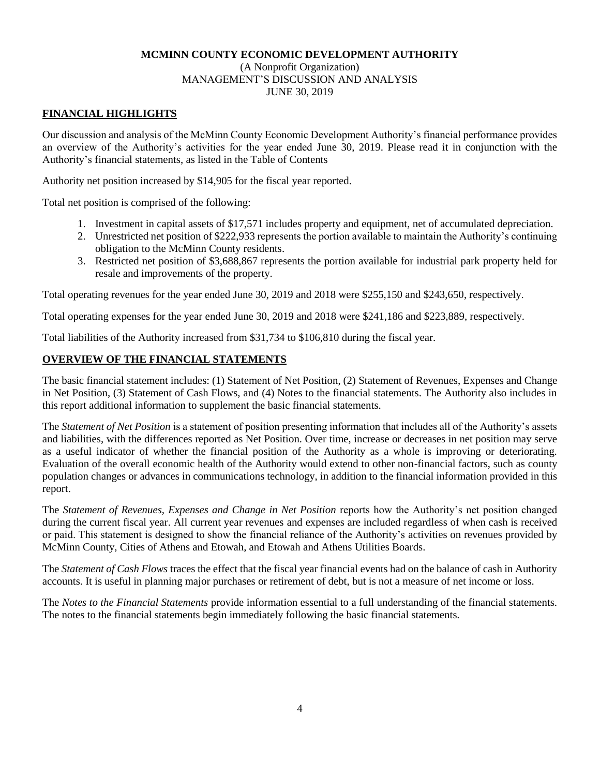### **MCMINN COUNTY ECONOMIC DEVELOPMENT AUTHORITY** (A Nonprofit Organization) MANAGEMENT'S DISCUSSION AND ANALYSIS JUNE 30, 2019

## **FINANCIAL HIGHLIGHTS**

Our discussion and analysis of the McMinn County Economic Development Authority's financial performance provides an overview of the Authority's activities for the year ended June 30, 2019. Please read it in conjunction with the Authority's financial statements, as listed in the Table of Contents

Authority net position increased by \$14,905 for the fiscal year reported.

Total net position is comprised of the following:

- 1. Investment in capital assets of \$17,571 includes property and equipment, net of accumulated depreciation.
- 2. Unrestricted net position of \$222,933 represents the portion available to maintain the Authority's continuing obligation to the McMinn County residents.
- 3. Restricted net position of \$3,688,867 represents the portion available for industrial park property held for resale and improvements of the property.

Total operating revenues for the year ended June 30, 2019 and 2018 were \$255,150 and \$243,650, respectively.

Total operating expenses for the year ended June 30, 2019 and 2018 were \$241,186 and \$223,889, respectively.

Total liabilities of the Authority increased from \$31,734 to \$106,810 during the fiscal year.

## **OVERVIEW OF THE FINANCIAL STATEMENTS**

The basic financial statement includes: (1) Statement of Net Position, (2) Statement of Revenues, Expenses and Change in Net Position, (3) Statement of Cash Flows, and (4) Notes to the financial statements. The Authority also includes in this report additional information to supplement the basic financial statements.

The *Statement of Net Position* is a statement of position presenting information that includes all of the Authority's assets and liabilities, with the differences reported as Net Position. Over time, increase or decreases in net position may serve as a useful indicator of whether the financial position of the Authority as a whole is improving or deteriorating. Evaluation of the overall economic health of the Authority would extend to other non-financial factors, such as county population changes or advances in communications technology, in addition to the financial information provided in this report.

The *Statement of Revenues, Expenses and Change in Net Position* reports how the Authority's net position changed during the current fiscal year. All current year revenues and expenses are included regardless of when cash is received or paid. This statement is designed to show the financial reliance of the Authority's activities on revenues provided by McMinn County, Cities of Athens and Etowah, and Etowah and Athens Utilities Boards.

The *Statement of Cash Flows* traces the effect that the fiscal year financial events had on the balance of cash in Authority accounts. It is useful in planning major purchases or retirement of debt, but is not a measure of net income or loss.

The *Notes to the Financial Statements* provide information essential to a full understanding of the financial statements. The notes to the financial statements begin immediately following the basic financial statements.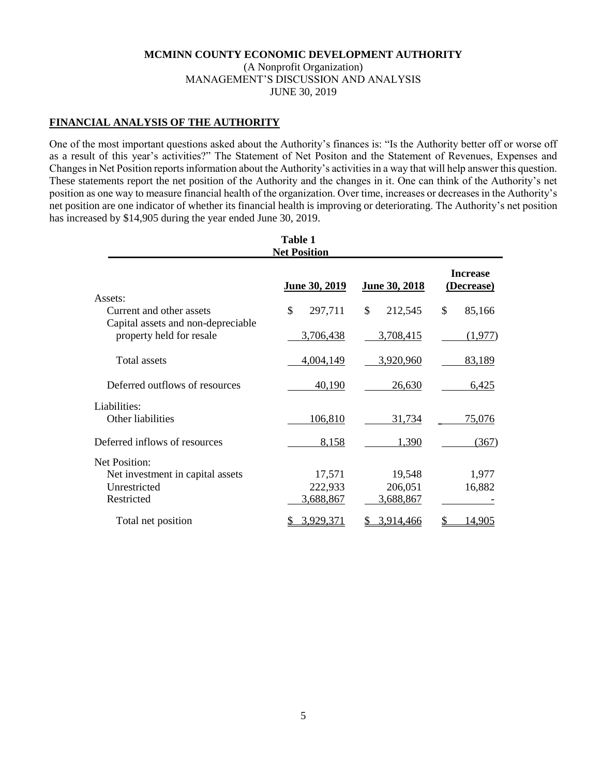(A Nonprofit Organization) MANAGEMENT'S DISCUSSION AND ANALYSIS JUNE 30, 2019

#### **FINANCIAL ANALYSIS OF THE AUTHORITY**

One of the most important questions asked about the Authority's finances is: "Is the Authority better off or worse off as a result of this year's activities?" The Statement of Net Positon and the Statement of Revenues, Expenses and Changes in Net Position reports information about the Authority's activities in a way that will help answer this question. These statements report the net position of the Authority and the changes in it. One can think of the Authority's net position as one way to measure financial health of the organization. Over time, increases or decreases in the Authority's net position are one indicator of whether its financial health is improving or deteriorating. The Authority's net position has increased by \$14,905 during the year ended June 30, 2019.

|                                                                                        | <b>Table 1</b><br><b>Net Position</b> |                                |                               |
|----------------------------------------------------------------------------------------|---------------------------------------|--------------------------------|-------------------------------|
|                                                                                        | <u>June 30, 2019</u>                  | June 30, 2018                  | <b>Increase</b><br>(Decrease) |
| Assets:<br>Current and other assets                                                    | \$<br>297,711                         | $\mathbb{S}$<br>212,545        | \$<br>85,166                  |
| Capital assets and non-depreciable<br>property held for resale                         | 3,706,438                             | 3,708,415                      | (1,977)                       |
| <b>Total assets</b>                                                                    | 4,004,149                             | 3,920,960                      | <u>83,189</u>                 |
| Deferred outflows of resources                                                         | 40,190                                | <u>26,630</u>                  | 6,425                         |
| Liabilities:<br>Other liabilities                                                      | 106,810                               | 31,734                         | 75,076                        |
| Deferred inflows of resources                                                          | 8,158                                 | 1,390                          | (367)                         |
| <b>Net Position:</b><br>Net investment in capital assets<br>Unrestricted<br>Restricted | 17,571<br>222,933<br>3,688,867        | 19,548<br>206,051<br>3,688,867 | 1,977<br>16,882               |
| Total net position                                                                     | 3,929,371                             | 3,914,466                      | S<br><u>14,905</u>            |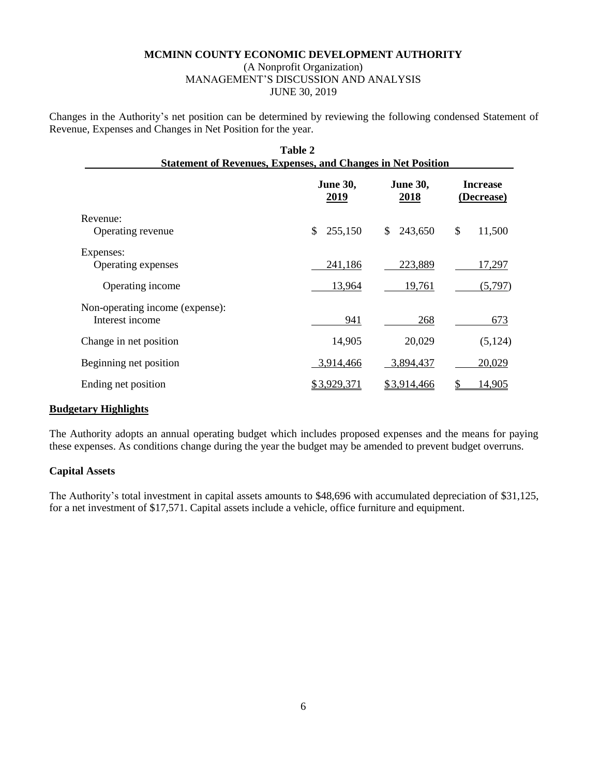#### (A Nonprofit Organization) MANAGEMENT'S DISCUSSION AND ANALYSIS JUNE 30, 2019

Changes in the Authority's net position can be determined by reviewing the following condensed Statement of Revenue, Expenses and Changes in Net Position for the year.

| <b>Table 2</b><br><b>Statement of Revenues, Expenses, and Changes in Net Position</b> |                                                    |                |                               |  |  |
|---------------------------------------------------------------------------------------|----------------------------------------------------|----------------|-------------------------------|--|--|
|                                                                                       | <b>June 30,</b><br><b>June 30,</b><br>2019<br>2018 |                | <b>Increase</b><br>(Decrease) |  |  |
| Revenue:<br>Operating revenue                                                         | \$<br>255,150                                      | 243,650<br>\$. | \$<br>11,500                  |  |  |
| Expenses:<br>Operating expenses                                                       | 241,186                                            | 223,889        | 17,297                        |  |  |
| Operating income                                                                      | 13,964                                             | 19,761         | (5,797)                       |  |  |
| Non-operating income (expense):<br>Interest income                                    | 941                                                | 268            | 673                           |  |  |
| Change in net position                                                                | 14,905                                             | 20,029         | (5, 124)                      |  |  |
| Beginning net position                                                                | 3,914,466                                          | 3,894,437      | 20,029                        |  |  |
| Ending net position                                                                   | \$3,929,371                                        | \$3,914,466    | 14,905                        |  |  |

#### **Budgetary Highlights**

The Authority adopts an annual operating budget which includes proposed expenses and the means for paying these expenses. As conditions change during the year the budget may be amended to prevent budget overruns.

#### **Capital Assets**

The Authority's total investment in capital assets amounts to \$48,696 with accumulated depreciation of \$31,125, for a net investment of \$17,571. Capital assets include a vehicle, office furniture and equipment.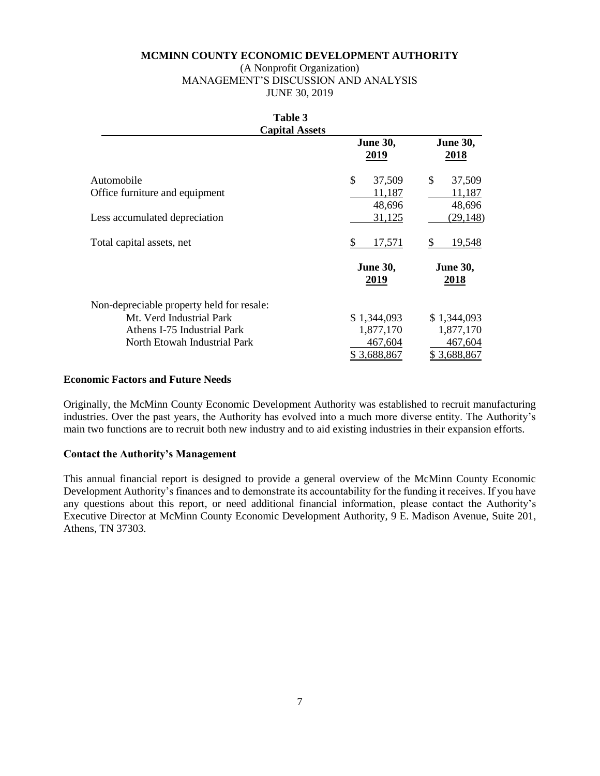#### (A Nonprofit Organization) MANAGEMENT'S DISCUSSION AND ANALYSIS JUNE 30, 2019

| Table 3                                   |                         |                         |
|-------------------------------------------|-------------------------|-------------------------|
| <b>Capital Assets</b>                     |                         |                         |
|                                           | <b>June 30,</b><br>2019 | <b>June 30,</b><br>2018 |
| Automobile                                | \$<br>37,509            | \$<br>37,509            |
| Office furniture and equipment            | 11,187<br>48,696        | 11,187<br>48,696        |
| Less accumulated depreciation             | 31,125                  | (29, 148)               |
| Total capital assets, net                 | 17,571                  | <u>19,548</u>           |
|                                           | <b>June 30,</b><br>2019 | <b>June 30,</b><br>2018 |
| Non-depreciable property held for resale: |                         |                         |
| Mt. Verd Industrial Park                  | \$1,344,093             | \$1,344,093             |
| Athens I-75 Industrial Park               | 1,877,170               | 1,877,170               |
| North Etowah Industrial Park              | 467,604                 | 467,604                 |
|                                           | \$3,688,867             | \$3,688,867             |

#### **Economic Factors and Future Needs**

Originally, the McMinn County Economic Development Authority was established to recruit manufacturing industries. Over the past years, the Authority has evolved into a much more diverse entity. The Authority's main two functions are to recruit both new industry and to aid existing industries in their expansion efforts.

#### **Contact the Authority's Management**

This annual financial report is designed to provide a general overview of the McMinn County Economic Development Authority's finances and to demonstrate its accountability for the funding it receives. If you have any questions about this report, or need additional financial information, please contact the Authority's Executive Director at McMinn County Economic Development Authority, 9 E. Madison Avenue, Suite 201, Athens, TN 37303.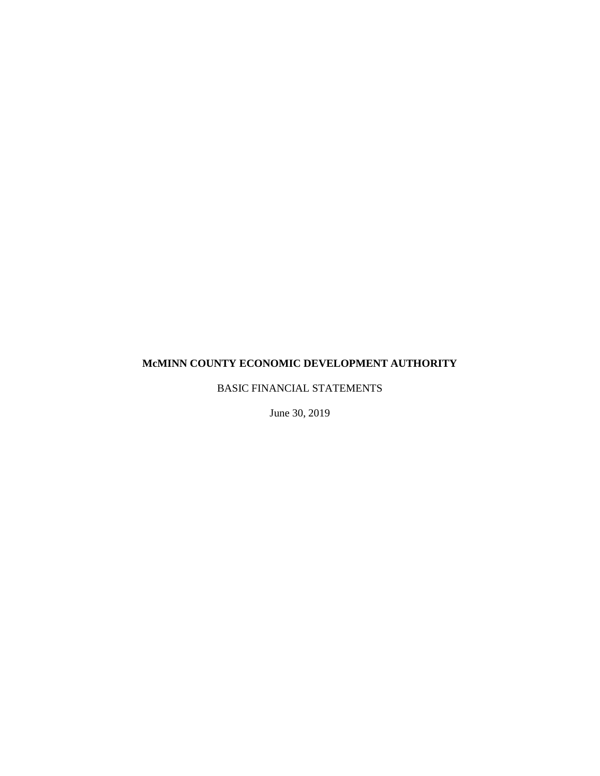BASIC FINANCIAL STATEMENTS

June 30, 2019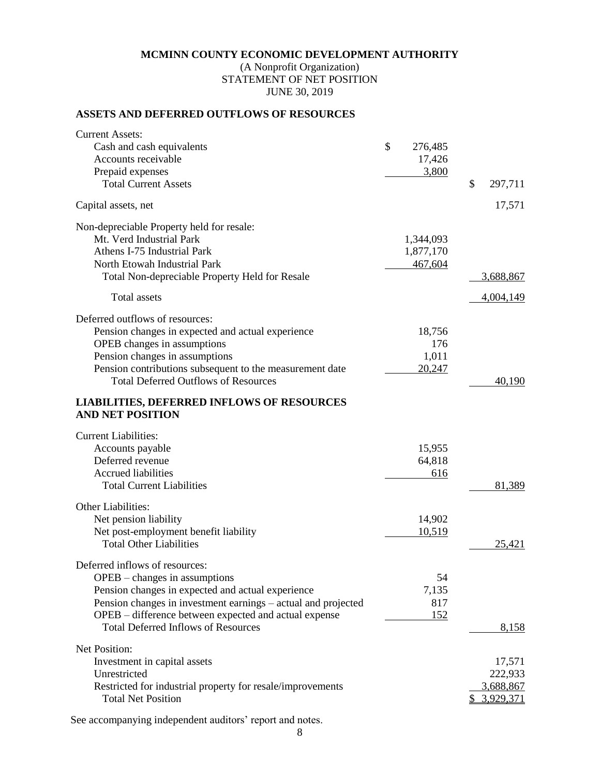## (A Nonprofit Organization) STATEMENT OF NET POSITION JUNE 30, 2019

## **ASSETS AND DEFERRED OUTFLOWS OF RESOURCES**

| <b>Current Assets:</b><br>Cash and cash equivalents<br>Accounts receivable<br>Prepaid expenses<br><b>Total Current Assets</b>                                                                                                                                                                  | \$<br>276,485<br>17,426<br>3,800  | $\mathbb{S}$<br>297,711                     |
|------------------------------------------------------------------------------------------------------------------------------------------------------------------------------------------------------------------------------------------------------------------------------------------------|-----------------------------------|---------------------------------------------|
| Capital assets, net                                                                                                                                                                                                                                                                            |                                   | 17,571                                      |
| Non-depreciable Property held for resale:<br>Mt. Verd Industrial Park<br>Athens I-75 Industrial Park<br>North Etowah Industrial Park<br>Total Non-depreciable Property Held for Resale                                                                                                         | 1,344,093<br>1,877,170<br>467,604 | 3,688,867                                   |
| <b>Total</b> assets                                                                                                                                                                                                                                                                            |                                   | 4,004,149                                   |
| Deferred outflows of resources:<br>Pension changes in expected and actual experience<br>OPEB changes in assumptions<br>Pension changes in assumptions<br>Pension contributions subsequent to the measurement date<br><b>Total Deferred Outflows of Resources</b>                               | 18,756<br>176<br>1,011<br>20,247  | 40,190                                      |
| <b>LIABILITIES, DEFERRED INFLOWS OF RESOURCES</b><br><b>AND NET POSITION</b>                                                                                                                                                                                                                   |                                   |                                             |
| <b>Current Liabilities:</b><br>Accounts payable<br>Deferred revenue<br><b>Accrued liabilities</b><br><b>Total Current Liabilities</b>                                                                                                                                                          | 15,955<br>64,818<br>616           | 81,389                                      |
| Other Liabilities:<br>Net pension liability<br>Net post-employment benefit liability<br><b>Total Other Liabilities</b>                                                                                                                                                                         | 14,902<br>10,519                  | 25,421                                      |
| Deferred inflows of resources:<br>$OPEB - changes in assumptions$<br>Pension changes in expected and actual experience<br>Pension changes in investment earnings - actual and projected<br>OPEB - difference between expected and actual expense<br><b>Total Deferred Inflows of Resources</b> | 54<br>7,135<br>817<br>152         | 8,158                                       |
| Net Position:<br>Investment in capital assets<br>Unrestricted<br>Restricted for industrial property for resale/improvements<br><b>Total Net Position</b>                                                                                                                                       |                                   | 17,571<br>222,933<br>3,688,867<br>3,929,371 |

See accompanying independent auditors' report and notes.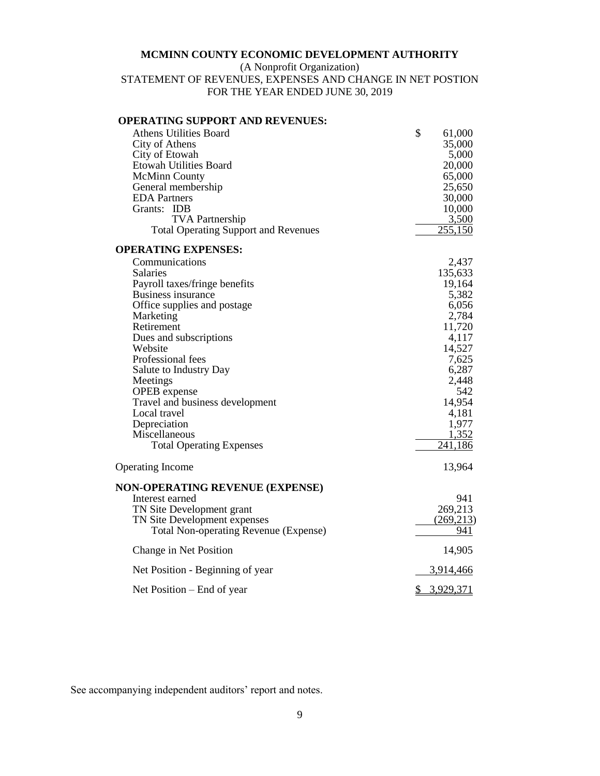## (A Nonprofit Organization) STATEMENT OF REVENUES, EXPENSES AND CHANGE IN NET POSTION FOR THE YEAR ENDED JUNE 30, 2019

## **OPERATING SUPPORT AND REVENUES:**

| <b>Athens Utilities Board</b>                | \$<br>61,000 |
|----------------------------------------------|--------------|
| City of Athens                               | 35,000       |
| City of Etowah                               | 5,000        |
| <b>Etowah Utilities Board</b>                | 20,000       |
| <b>McMinn County</b>                         | 65,000       |
| General membership                           | 25,650       |
| <b>EDA</b> Partners                          | 30,000       |
| Grants: IDB                                  | 10,000       |
| <b>TVA</b> Partnership                       | 3,500        |
| <b>Total Operating Support and Revenues</b>  | 255,150      |
| <b>OPERATING EXPENSES:</b>                   |              |
| Communications                               | 2,437        |
| <b>Salaries</b>                              | 135,633      |
| Payroll taxes/fringe benefits                | 19,164       |
| Business insurance                           | 5,382        |
| Office supplies and postage                  | 6,056        |
| Marketing                                    | 2,784        |
| Retirement                                   | 11,720       |
| Dues and subscriptions                       | 4,117        |
| Website                                      | 14,527       |
| Professional fees                            | 7,625        |
| Salute to Industry Day                       | 6,287        |
| Meetings                                     | 2,448        |
| OPEB expense                                 | 542          |
| Travel and business development              | 14,954       |
| Local travel                                 | 4,181        |
| Depreciation                                 | 1,977        |
| Miscellaneous                                | 1,352        |
| <b>Total Operating Expenses</b>              | 241,186      |
|                                              |              |
| <b>Operating Income</b>                      | 13,964       |
| NON-OPERATING REVENUE (EXPENSE)              |              |
| Interest earned                              | 941          |
| TN Site Development grant                    | 269,213      |
| TN Site Development expenses                 | (269, 213)   |
| <b>Total Non-operating Revenue (Expense)</b> | 941          |
| Change in Net Position                       | 14,905       |
| Net Position - Beginning of year             | 3,914,466    |
| Net Position – End of year                   | \$3,929,371  |

See accompanying independent auditors' report and notes.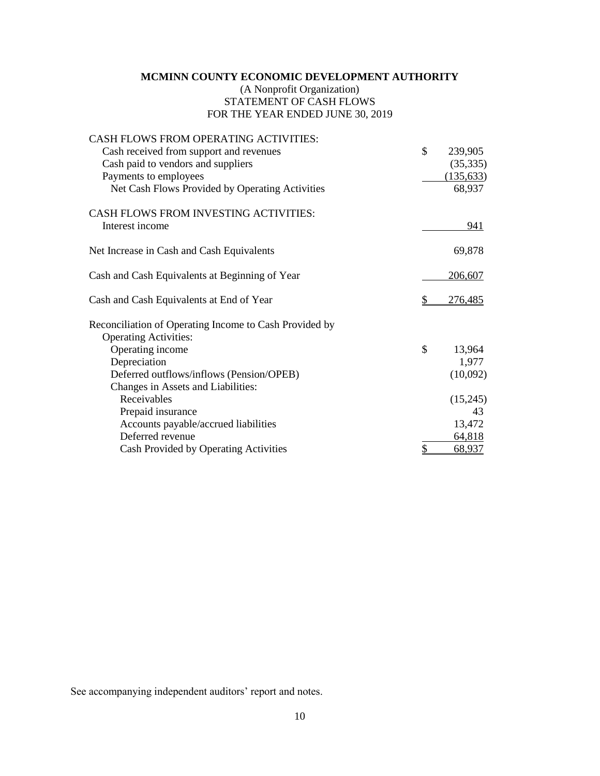## (A Nonprofit Organization) STATEMENT OF CASH FLOWS FOR THE YEAR ENDED JUNE 30, 2019

| <b>CASH FLOWS FROM OPERATING ACTIVITIES:</b>           |                     |
|--------------------------------------------------------|---------------------|
| Cash received from support and revenues                | \$<br>239,905       |
| Cash paid to vendors and suppliers                     | (35, 335)           |
| Payments to employees                                  | (135, 633)          |
| Net Cash Flows Provided by Operating Activities        | 68,937              |
| CASH FLOWS FROM INVESTING ACTIVITIES:                  |                     |
| Interest income                                        | 941                 |
| Net Increase in Cash and Cash Equivalents              | 69,878              |
| Cash and Cash Equivalents at Beginning of Year         | 206,607             |
| Cash and Cash Equivalents at End of Year               | 276,485             |
| Reconciliation of Operating Income to Cash Provided by |                     |
| <b>Operating Activities:</b>                           |                     |
| Operating income                                       | \$<br>13,964        |
| Depreciation                                           | 1,977               |
| Deferred outflows/inflows (Pension/OPEB)               | (10,092)            |
| Changes in Assets and Liabilities:                     |                     |
| Receivables                                            | (15, 245)           |
| Prepaid insurance                                      | 43                  |
| Accounts payable/accrued liabilities                   | 13,472              |
| Deferred revenue                                       | 64,818              |
| Cash Provided by Operating Activities                  | \$<br><u>68,937</u> |

See accompanying independent auditors' report and notes.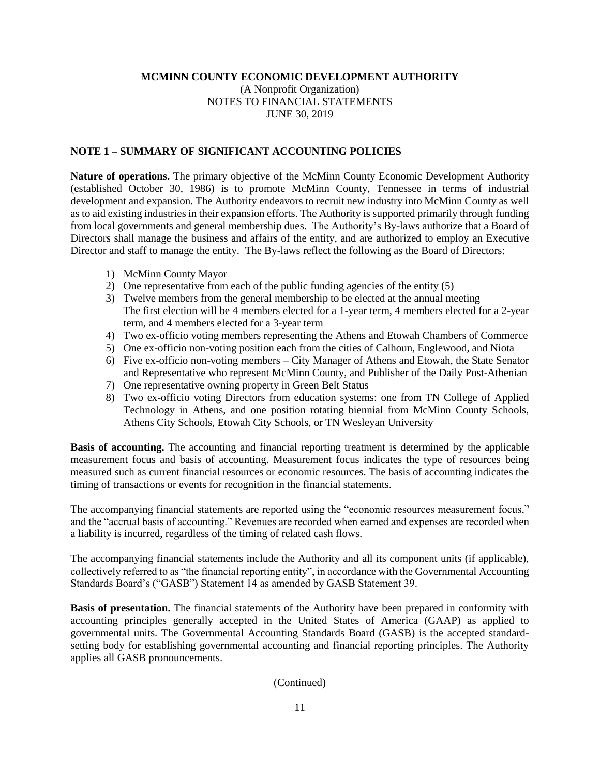(A Nonprofit Organization) NOTES TO FINANCIAL STATEMENTS JUNE 30, 2019

## **NOTE 1 – SUMMARY OF SIGNIFICANT ACCOUNTING POLICIES**

**Nature of operations.** The primary objective of the McMinn County Economic Development Authority (established October 30, 1986) is to promote McMinn County, Tennessee in terms of industrial development and expansion. The Authority endeavors to recruit new industry into McMinn County as well as to aid existing industries in their expansion efforts. The Authority is supported primarily through funding from local governments and general membership dues. The Authority's By-laws authorize that a Board of Directors shall manage the business and affairs of the entity, and are authorized to employ an Executive Director and staff to manage the entity. The By-laws reflect the following as the Board of Directors:

- 1) McMinn County Mayor
- 2) One representative from each of the public funding agencies of the entity (5)
- 3) Twelve members from the general membership to be elected at the annual meeting The first election will be 4 members elected for a 1-year term, 4 members elected for a 2-year term, and 4 members elected for a 3-year term
- 4) Two ex-officio voting members representing the Athens and Etowah Chambers of Commerce
- 5) One ex-officio non-voting position each from the cities of Calhoun, Englewood, and Niota
- 6) Five ex-officio non-voting members City Manager of Athens and Etowah, the State Senator and Representative who represent McMinn County, and Publisher of the Daily Post-Athenian
- 7) One representative owning property in Green Belt Status
- 8) Two ex-officio voting Directors from education systems: one from TN College of Applied Technology in Athens, and one position rotating biennial from McMinn County Schools, Athens City Schools, Etowah City Schools, or TN Wesleyan University

**Basis of accounting.** The accounting and financial reporting treatment is determined by the applicable measurement focus and basis of accounting. Measurement focus indicates the type of resources being measured such as current financial resources or economic resources. The basis of accounting indicates the timing of transactions or events for recognition in the financial statements.

The accompanying financial statements are reported using the "economic resources measurement focus," and the "accrual basis of accounting." Revenues are recorded when earned and expenses are recorded when a liability is incurred, regardless of the timing of related cash flows.

The accompanying financial statements include the Authority and all its component units (if applicable), collectively referred to as "the financial reporting entity", in accordance with the Governmental Accounting Standards Board's ("GASB") Statement 14 as amended by GASB Statement 39.

**Basis of presentation.** The financial statements of the Authority have been prepared in conformity with accounting principles generally accepted in the United States of America (GAAP) as applied to governmental units. The Governmental Accounting Standards Board (GASB) is the accepted standardsetting body for establishing governmental accounting and financial reporting principles. The Authority applies all GASB pronouncements.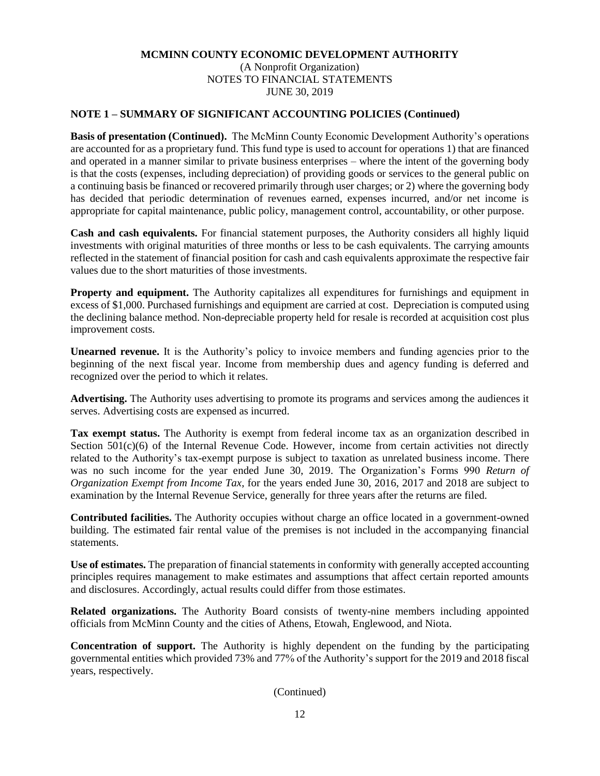## **NOTE 1 – SUMMARY OF SIGNIFICANT ACCOUNTING POLICIES (Continued)**

**Basis of presentation (Continued).** The McMinn County Economic Development Authority's operations are accounted for as a proprietary fund. This fund type is used to account for operations 1) that are financed and operated in a manner similar to private business enterprises – where the intent of the governing body is that the costs (expenses, including depreciation) of providing goods or services to the general public on a continuing basis be financed or recovered primarily through user charges; or 2) where the governing body has decided that periodic determination of revenues earned, expenses incurred, and/or net income is appropriate for capital maintenance, public policy, management control, accountability, or other purpose.

**Cash and cash equivalents.** For financial statement purposes, the Authority considers all highly liquid investments with original maturities of three months or less to be cash equivalents. The carrying amounts reflected in the statement of financial position for cash and cash equivalents approximate the respective fair values due to the short maturities of those investments.

**Property and equipment.** The Authority capitalizes all expenditures for furnishings and equipment in excess of \$1,000. Purchased furnishings and equipment are carried at cost. Depreciation is computed using the declining balance method. Non-depreciable property held for resale is recorded at acquisition cost plus improvement costs.

**Unearned revenue.** It is the Authority's policy to invoice members and funding agencies prior to the beginning of the next fiscal year. Income from membership dues and agency funding is deferred and recognized over the period to which it relates.

**Advertising.** The Authority uses advertising to promote its programs and services among the audiences it serves. Advertising costs are expensed as incurred.

**Tax exempt status.** The Authority is exempt from federal income tax as an organization described in Section 501(c)(6) of the Internal Revenue Code. However, income from certain activities not directly related to the Authority's tax-exempt purpose is subject to taxation as unrelated business income. There was no such income for the year ended June 30, 2019. The Organization's Forms 990 *Return of Organization Exempt from Income Tax*, for the years ended June 30, 2016, 2017 and 2018 are subject to examination by the Internal Revenue Service, generally for three years after the returns are filed.

**Contributed facilities.** The Authority occupies without charge an office located in a government-owned building. The estimated fair rental value of the premises is not included in the accompanying financial statements.

**Use of estimates.** The preparation of financial statements in conformity with generally accepted accounting principles requires management to make estimates and assumptions that affect certain reported amounts and disclosures. Accordingly, actual results could differ from those estimates.

**Related organizations.** The Authority Board consists of twenty-nine members including appointed officials from McMinn County and the cities of Athens, Etowah, Englewood, and Niota.

**Concentration of support.** The Authority is highly dependent on the funding by the participating governmental entities which provided 73% and 77% of the Authority's support for the 2019 and 2018 fiscal years, respectively.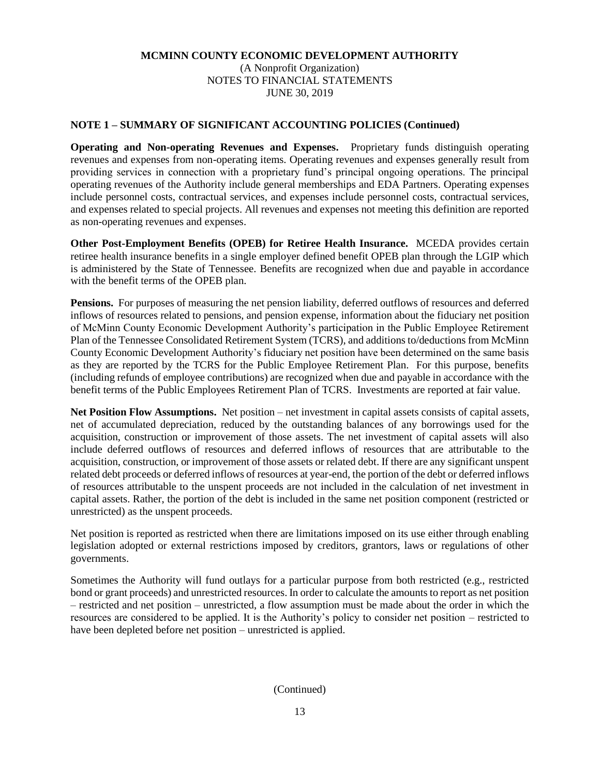(A Nonprofit Organization) NOTES TO FINANCIAL STATEMENTS JUNE 30, 2019

#### **NOTE 1 – SUMMARY OF SIGNIFICANT ACCOUNTING POLICIES (Continued)**

**Operating and Non-operating Revenues and Expenses.** Proprietary funds distinguish operating revenues and expenses from non-operating items. Operating revenues and expenses generally result from providing services in connection with a proprietary fund's principal ongoing operations. The principal operating revenues of the Authority include general memberships and EDA Partners. Operating expenses include personnel costs, contractual services, and expenses include personnel costs, contractual services, and expenses related to special projects. All revenues and expenses not meeting this definition are reported as non-operating revenues and expenses.

**Other Post-Employment Benefits (OPEB) for Retiree Health Insurance.** MCEDA provides certain retiree health insurance benefits in a single employer defined benefit OPEB plan through the LGIP which is administered by the State of Tennessee. Benefits are recognized when due and payable in accordance with the benefit terms of the OPEB plan.

**Pensions.** For purposes of measuring the net pension liability, deferred outflows of resources and deferred inflows of resources related to pensions, and pension expense, information about the fiduciary net position of McMinn County Economic Development Authority's participation in the Public Employee Retirement Plan of the Tennessee Consolidated Retirement System (TCRS), and additions to/deductions from McMinn County Economic Development Authority's fiduciary net position have been determined on the same basis as they are reported by the TCRS for the Public Employee Retirement Plan. For this purpose, benefits (including refunds of employee contributions) are recognized when due and payable in accordance with the benefit terms of the Public Employees Retirement Plan of TCRS. Investments are reported at fair value.

**Net Position Flow Assumptions.** Net position – net investment in capital assets consists of capital assets, net of accumulated depreciation, reduced by the outstanding balances of any borrowings used for the acquisition, construction or improvement of those assets. The net investment of capital assets will also include deferred outflows of resources and deferred inflows of resources that are attributable to the acquisition, construction, or improvement of those assets or related debt. If there are any significant unspent related debt proceeds or deferred inflows of resources at year-end, the portion of the debt or deferred inflows of resources attributable to the unspent proceeds are not included in the calculation of net investment in capital assets. Rather, the portion of the debt is included in the same net position component (restricted or unrestricted) as the unspent proceeds.

Net position is reported as restricted when there are limitations imposed on its use either through enabling legislation adopted or external restrictions imposed by creditors, grantors, laws or regulations of other governments.

Sometimes the Authority will fund outlays for a particular purpose from both restricted (e.g., restricted bond or grant proceeds) and unrestricted resources. In order to calculate the amounts to report as net position – restricted and net position – unrestricted, a flow assumption must be made about the order in which the resources are considered to be applied. It is the Authority's policy to consider net position – restricted to have been depleted before net position – unrestricted is applied.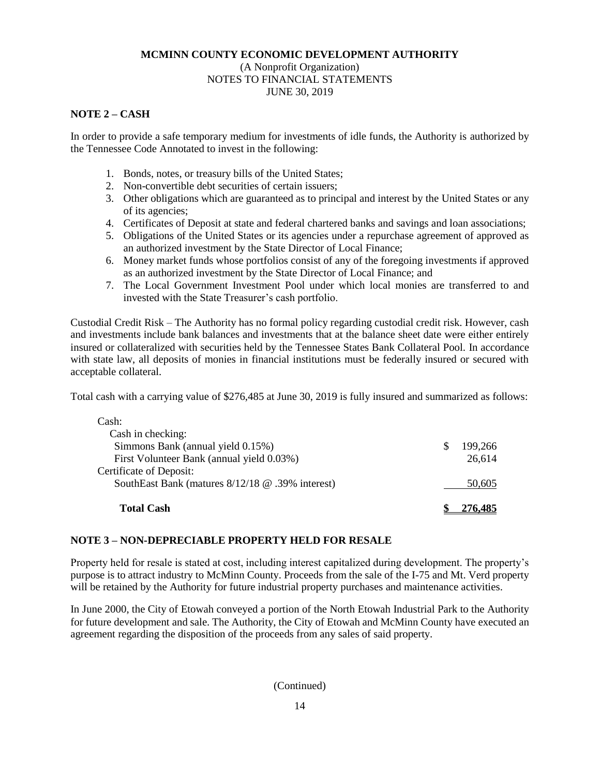## **NOTE 2 – CASH**

In order to provide a safe temporary medium for investments of idle funds, the Authority is authorized by the Tennessee Code Annotated to invest in the following:

- 1. Bonds, notes, or treasury bills of the United States;
- 2. Non-convertible debt securities of certain issuers;
- 3. Other obligations which are guaranteed as to principal and interest by the United States or any of its agencies;
- 4. Certificates of Deposit at state and federal chartered banks and savings and loan associations;
- 5. Obligations of the United States or its agencies under a repurchase agreement of approved as an authorized investment by the State Director of Local Finance;
- 6. Money market funds whose portfolios consist of any of the foregoing investments if approved as an authorized investment by the State Director of Local Finance; and
- 7. The Local Government Investment Pool under which local monies are transferred to and invested with the State Treasurer's cash portfolio.

Custodial Credit Risk – The Authority has no formal policy regarding custodial credit risk. However, cash and investments include bank balances and investments that at the balance sheet date were either entirely insured or collateralized with securities held by the Tennessee States Bank Collateral Pool. In accordance with state law, all deposits of monies in financial institutions must be federally insured or secured with acceptable collateral.

Total cash with a carrying value of \$276,485 at June 30, 2019 is fully insured and summarized as follows:

| Cash:                                            |         |
|--------------------------------------------------|---------|
| Cash in checking:                                |         |
| Simmons Bank (annual yield 0.15%)                | 199.266 |
| First Volunteer Bank (annual yield 0.03%)        | 26,614  |
| Certificate of Deposit:                          |         |
| SouthEast Bank (matures 8/12/18 @ .39% interest) | 50.605  |
|                                                  |         |
| <b>Total Cash</b>                                |         |

## **NOTE 3 – NON-DEPRECIABLE PROPERTY HELD FOR RESALE**

Property held for resale is stated at cost, including interest capitalized during development. The property's purpose is to attract industry to McMinn County. Proceeds from the sale of the I-75 and Mt. Verd property will be retained by the Authority for future industrial property purchases and maintenance activities.

In June 2000, the City of Etowah conveyed a portion of the North Etowah Industrial Park to the Authority for future development and sale. The Authority, the City of Etowah and McMinn County have executed an agreement regarding the disposition of the proceeds from any sales of said property.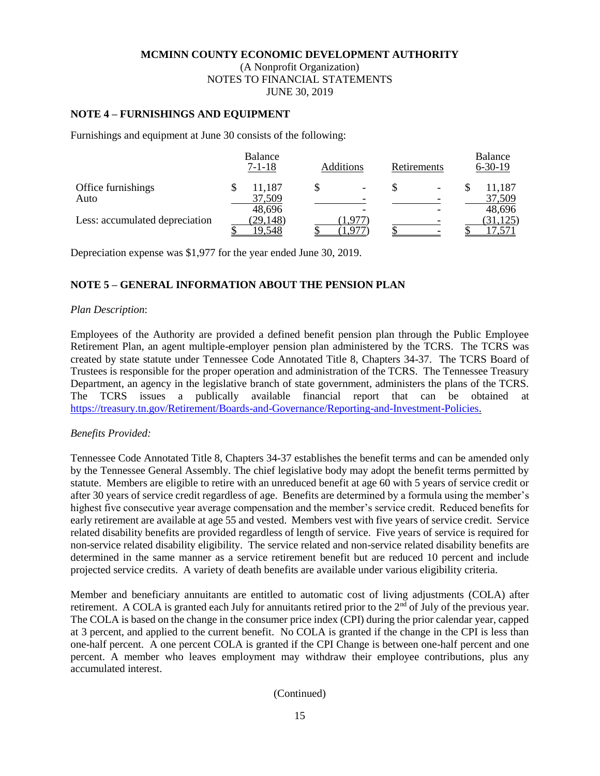## **NOTE 4 – FURNISHINGS AND EQUIPMENT**

Furnishings and equipment at June 30 consists of the following:

|                                | <b>Balance</b><br>$7 - 1 - 18$ | Additions                | Retirements |  | <b>Balance</b><br>$6 - 30 - 19$ |
|--------------------------------|--------------------------------|--------------------------|-------------|--|---------------------------------|
| Office furnishings             | 11,187                         | $\overline{\phantom{0}}$ |             |  | 11,187                          |
| Auto                           | 37,509                         |                          |             |  | 37,509                          |
|                                | 48,696                         |                          |             |  | 48,696                          |
| Less: accumulated depreciation | (29, 148)                      | 1.977                    |             |  | (31,125)                        |
|                                |                                |                          |             |  |                                 |

Depreciation expense was \$1,977 for the year ended June 30, 2019.

#### **NOTE 5 – GENERAL INFORMATION ABOUT THE PENSION PLAN**

#### *Plan Description*:

Employees of the Authority are provided a defined benefit pension plan through the Public Employee Retirement Plan, an agent multiple-employer pension plan administered by the TCRS. The TCRS was created by state statute under Tennessee Code Annotated Title 8, Chapters 34-37. The TCRS Board of Trustees is responsible for the proper operation and administration of the TCRS. The Tennessee Treasury Department, an agency in the legislative branch of state government, administers the plans of the TCRS. The TCRS issues a publically available financial report that can be obtained at [https://treasury.tn.gov/Retirement/Boards-and-Governance/Reporting-and-Investment-Policies.](https://treasury.tn.gov/Retirement/Boards-and-Governance/Reporting-and-Investment-Policies)

#### *Benefits Provided:*

Tennessee Code Annotated Title 8, Chapters 34-37 establishes the benefit terms and can be amended only by the Tennessee General Assembly. The chief legislative body may adopt the benefit terms permitted by statute. Members are eligible to retire with an unreduced benefit at age 60 with 5 years of service credit or after 30 years of service credit regardless of age. Benefits are determined by a formula using the member's highest five consecutive year average compensation and the member's service credit. Reduced benefits for early retirement are available at age 55 and vested. Members vest with five years of service credit. Service related disability benefits are provided regardless of length of service. Five years of service is required for non-service related disability eligibility. The service related and non-service related disability benefits are determined in the same manner as a service retirement benefit but are reduced 10 percent and include projected service credits. A variety of death benefits are available under various eligibility criteria.

Member and beneficiary annuitants are entitled to automatic cost of living adjustments (COLA) after retirement. A COLA is granted each July for annuitants retired prior to the 2<sup>nd</sup> of July of the previous year. The COLA is based on the change in the consumer price index (CPI) during the prior calendar year, capped at 3 percent, and applied to the current benefit. No COLA is granted if the change in the CPI is less than one-half percent. A one percent COLA is granted if the CPI Change is between one-half percent and one percent. A member who leaves employment may withdraw their employee contributions, plus any accumulated interest.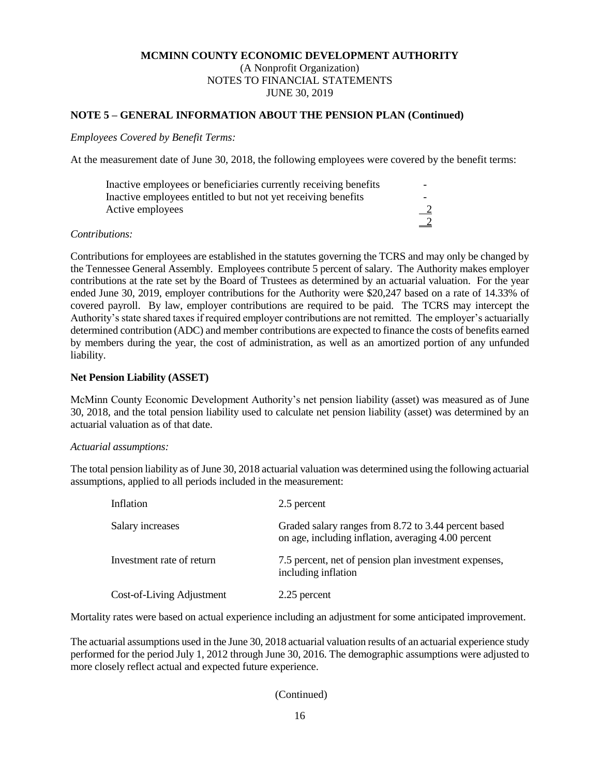## **NOTE 5 – GENERAL INFORMATION ABOUT THE PENSION PLAN (Continued)**

#### *Employees Covered by Benefit Terms:*

At the measurement date of June 30, 2018, the following employees were covered by the benefit terms:

| Inactive employees or beneficiaries currently receiving benefits |  |
|------------------------------------------------------------------|--|
| Inactive employees entitled to but not yet receiving benefits    |  |
| Active employees                                                 |  |
|                                                                  |  |

#### *Contributions:*

Contributions for employees are established in the statutes governing the TCRS and may only be changed by the Tennessee General Assembly. Employees contribute 5 percent of salary. The Authority makes employer contributions at the rate set by the Board of Trustees as determined by an actuarial valuation. For the year ended June 30, 2019, employer contributions for the Authority were \$20,247 based on a rate of 14.33% of covered payroll. By law, employer contributions are required to be paid. The TCRS may intercept the Authority's state shared taxes if required employer contributions are not remitted. The employer's actuarially determined contribution (ADC) and member contributions are expected to finance the costs of benefits earned by members during the year, the cost of administration, as well as an amortized portion of any unfunded liability.

## **Net Pension Liability (ASSET)**

McMinn County Economic Development Authority's net pension liability (asset) was measured as of June 30, 2018, and the total pension liability used to calculate net pension liability (asset) was determined by an actuarial valuation as of that date.

#### *Actuarial assumptions:*

The total pension liability as of June 30, 2018 actuarial valuation was determined using the following actuarial assumptions, applied to all periods included in the measurement:

| Inflation                 | 2.5 percent                                                                                                 |
|---------------------------|-------------------------------------------------------------------------------------------------------------|
| Salary increases          | Graded salary ranges from 8.72 to 3.44 percent based<br>on age, including inflation, averaging 4.00 percent |
| Investment rate of return | 7.5 percent, net of pension plan investment expenses,<br>including inflation                                |
| Cost-of-Living Adjustment | 2.25 percent                                                                                                |

Mortality rates were based on actual experience including an adjustment for some anticipated improvement.

The actuarial assumptions used in the June 30, 2018 actuarial valuation results of an actuarial experience study performed for the period July 1, 2012 through June 30, 2016. The demographic assumptions were adjusted to more closely reflect actual and expected future experience.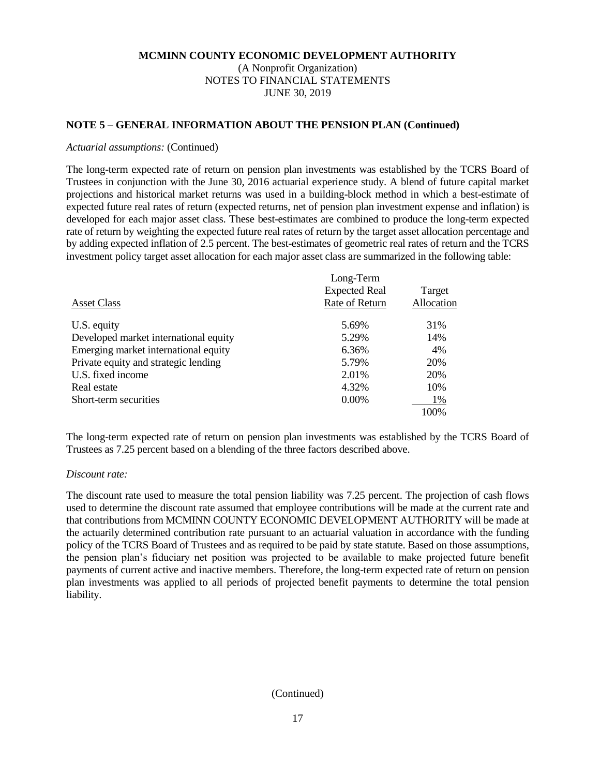### (A Nonprofit Organization) NOTES TO FINANCIAL STATEMENTS JUNE 30, 2019

## **NOTE 5 – GENERAL INFORMATION ABOUT THE PENSION PLAN (Continued)**

#### *Actuarial assumptions:* (Continued)

The long-term expected rate of return on pension plan investments was established by the TCRS Board of Trustees in conjunction with the June 30, 2016 actuarial experience study. A blend of future capital market projections and historical market returns was used in a building-block method in which a best-estimate of expected future real rates of return (expected returns, net of pension plan investment expense and inflation) is developed for each major asset class. These best-estimates are combined to produce the long-term expected rate of return by weighting the expected future real rates of return by the target asset allocation percentage and by adding expected inflation of 2.5 percent. The best-estimates of geometric real rates of return and the TCRS investment policy target asset allocation for each major asset class are summarized in the following table:

|                                       | Long-Term            |            |
|---------------------------------------|----------------------|------------|
|                                       | <b>Expected Real</b> | Target     |
| <b>Asset Class</b>                    | Rate of Return       | Allocation |
| U.S. equity                           | 5.69%                | 31%        |
| Developed market international equity | 5.29%                | 14%        |
| Emerging market international equity  | 6.36%                | 4%         |
| Private equity and strategic lending  | 5.79%                | 20%        |
| U.S. fixed income                     | 2.01%                | 20%        |
| Real estate                           | 4.32%                | 10%        |
| Short-term securities                 | $0.00\%$             | 1%         |
|                                       |                      | 100%       |

The long-term expected rate of return on pension plan investments was established by the TCRS Board of Trustees as 7.25 percent based on a blending of the three factors described above.

## *Discount rate:*

The discount rate used to measure the total pension liability was 7.25 percent. The projection of cash flows used to determine the discount rate assumed that employee contributions will be made at the current rate and that contributions from MCMINN COUNTY ECONOMIC DEVELOPMENT AUTHORITY will be made at the actuarily determined contribution rate pursuant to an actuarial valuation in accordance with the funding policy of the TCRS Board of Trustees and as required to be paid by state statute. Based on those assumptions, the pension plan's fiduciary net position was projected to be available to make projected future benefit payments of current active and inactive members. Therefore, the long-term expected rate of return on pension plan investments was applied to all periods of projected benefit payments to determine the total pension liability.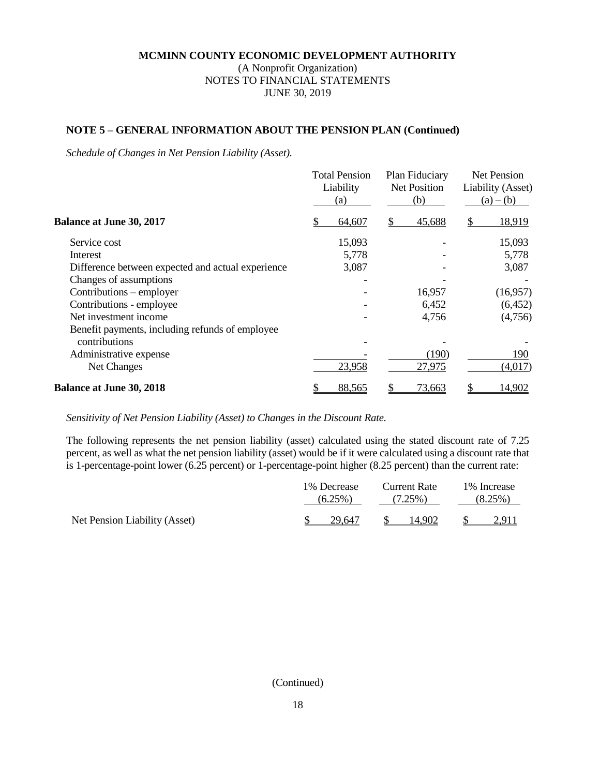## (A Nonprofit Organization) NOTES TO FINANCIAL STATEMENTS JUNE 30, 2019

#### **NOTE 5 – GENERAL INFORMATION ABOUT THE PENSION PLAN (Continued)**

*Schedule of Changes in Net Pension Liability (Asset).*

|                                                                  | <b>Total Pension</b><br>Liability<br>(a) | Plan Fiduciary<br><b>Net Position</b><br>(b) | Net Pension<br>Liability (Asset)<br>$(a) - (b)$ |  |  |
|------------------------------------------------------------------|------------------------------------------|----------------------------------------------|-------------------------------------------------|--|--|
| <b>Balance at June 30, 2017</b>                                  | 64,607                                   | S<br>45,688                                  | 18,919                                          |  |  |
| Service cost                                                     | 15,093                                   |                                              | 15,093                                          |  |  |
| Interest                                                         | 5,778                                    |                                              | 5,778                                           |  |  |
| Difference between expected and actual experience                | 3,087                                    |                                              | 3,087                                           |  |  |
| Changes of assumptions                                           |                                          |                                              |                                                 |  |  |
| Contributions – employer                                         |                                          | 16,957                                       | (16,957)                                        |  |  |
| Contributions - employee                                         |                                          | 6,452                                        | (6,452)                                         |  |  |
| Net investment income                                            |                                          | 4,756                                        | (4,756)                                         |  |  |
| Benefit payments, including refunds of employee<br>contributions |                                          |                                              |                                                 |  |  |
| Administrative expense                                           |                                          | (190)                                        | 190                                             |  |  |
| Net Changes                                                      | 23,958                                   | 27,975                                       | (4,017)                                         |  |  |
| <b>Balance at June 30, 2018</b>                                  | 88,565                                   | 73,663                                       | 14,902                                          |  |  |

*Sensitivity of Net Pension Liability (Asset) to Changes in the Discount Rate.*

The following represents the net pension liability (asset) calculated using the stated discount rate of 7.25 percent, as well as what the net pension liability (asset) would be if it were calculated using a discount rate that is 1-percentage-point lower (6.25 percent) or 1-percentage-point higher (8.25 percent) than the current rate:

|                               | 1\% Decrease<br>$(6.25\%)$ |        | Current Rate | 1\% Increase |
|-------------------------------|----------------------------|--------|--------------|--------------|
|                               |                            |        | $(7.25\%)$   | $(8.25\%)$   |
| Net Pension Liability (Asset) |                            | 29.647 | 14.902       | 2.911        |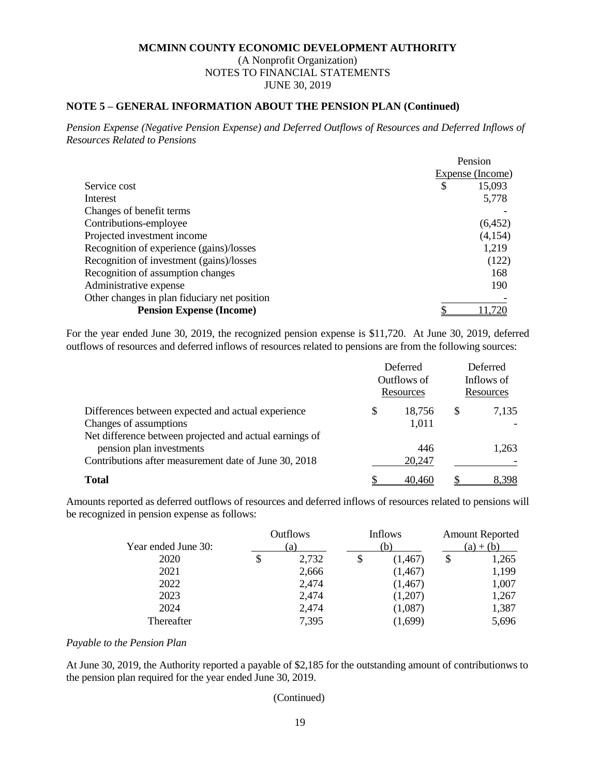#### **NOTE 5 – GENERAL INFORMATION ABOUT THE PENSION PLAN (Continued)**

*Pension Expense (Negative Pension Expense) and Deferred Outflows of Resources and Deferred Inflows of Resources Related to Pensions*

|                                              | Pension          |
|----------------------------------------------|------------------|
|                                              | Expense (Income) |
| Service cost                                 | \$<br>15,093     |
| Interest                                     | 5,778            |
| Changes of benefit terms                     |                  |
| Contributions-employee                       | (6, 452)         |
| Projected investment income                  | (4,154)          |
| Recognition of experience (gains)/losses     | 1,219            |
| Recognition of investment (gains)/losses     | (122)            |
| Recognition of assumption changes            | 168              |
| Administrative expense                       | 190              |
| Other changes in plan fiduciary net position |                  |
| <b>Pension Expense (Income)</b>              |                  |

For the year ended June 30, 2019, the recognized pension expense is \$11,720. At June 30, 2019, deferred outflows of resources and deferred inflows of resources related to pensions are from the following sources:

|                                                                                                                                              | Deferred<br>Outflows of<br>Resources | Deferred<br>Inflows of<br>Resources |       |  |
|----------------------------------------------------------------------------------------------------------------------------------------------|--------------------------------------|-------------------------------------|-------|--|
| Differences between expected and actual experience<br>Changes of assumptions                                                                 | \$<br>18.756<br>1,011                | \$                                  | 7,135 |  |
| Net difference between projected and actual earnings of<br>pension plan investments<br>Contributions after measurement date of June 30, 2018 | 446<br>20,247                        |                                     | 1,263 |  |
| <b>Total</b>                                                                                                                                 | 40.460                               |                                     | 8.398 |  |

Amounts reported as deferred outflows of resources and deferred inflows of resources related to pensions will be recognized in pension expense as follows:

|                     |     | <b>Outflows</b> |   | <b>Inflows</b> | <b>Amount Reported</b><br>'a) |       |  |
|---------------------|-----|-----------------|---|----------------|-------------------------------|-------|--|
| Year ended June 30: | (a) |                 |   | (b             |                               |       |  |
| 2020                |     | 2,732           | S | (1,467)        |                               | 1,265 |  |
| 2021                |     | 2,666           |   | (1, 467)       |                               | 1,199 |  |
| 2022                |     | 2,474           |   | (1, 467)       |                               | 1,007 |  |
| 2023                |     | 2,474           |   | (1,207)        |                               | 1,267 |  |
| 2024                |     | 2,474           |   | (1,087)        |                               | 1,387 |  |
| Thereafter          |     | 7,395           |   | (1,699)        |                               | 5,696 |  |

## *Payable to the Pension Plan*

At June 30, 2019, the Authority reported a payable of \$2,185 for the outstanding amount of contributionws to the pension plan required for the year ended June 30, 2019.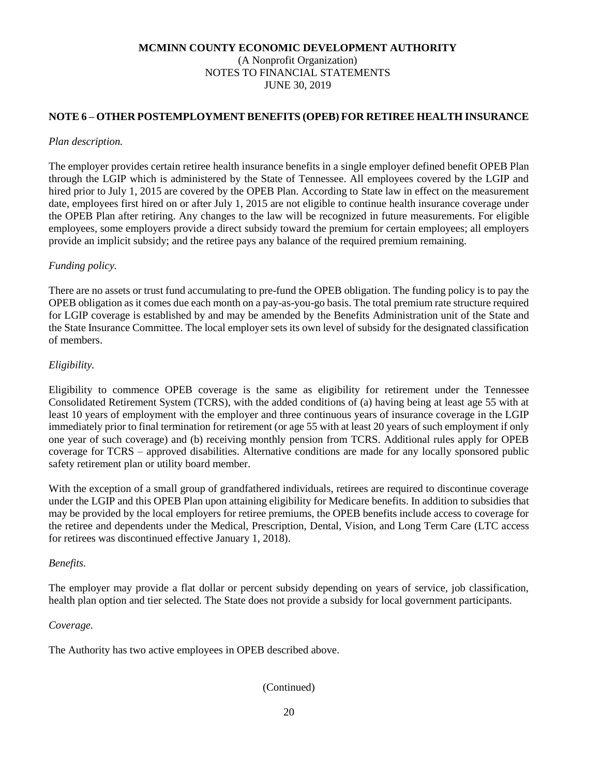### **NOTE 6 – OTHER POSTEMPLOYMENT BENEFITS (OPEB) FOR RETIREE HEALTH INSURANCE**

#### *Plan description.*

The employer provides certain retiree health insurance benefits in a single employer defined benefit OPEB Plan through the LGIP which is administered by the State of Tennessee. All employees covered by the LGIP and hired prior to July 1, 2015 are covered by the OPEB Plan. According to State law in effect on the measurement date, employees first hired on or after July 1, 2015 are not eligible to continue health insurance coverage under the OPEB Plan after retiring. Any changes to the law will be recognized in future measurements. For eligible employees, some employers provide a direct subsidy toward the premium for certain employees; all employers provide an implicit subsidy; and the retiree pays any balance of the required premium remaining.

## *Funding policy.*

There are no assets or trust fund accumulating to pre-fund the OPEB obligation. The funding policy is to pay the OPEB obligation as it comes due each month on a pay-as-you-go basis. The total premium rate structure required for LGIP coverage is established by and may be amended by the Benefits Administration unit of the State and the State Insurance Committee. The local employer sets its own level of subsidy for the designated classification of members.

#### *Eligibility.*

Eligibility to commence OPEB coverage is the same as eligibility for retirement under the Tennessee Consolidated Retirement System (TCRS), with the added conditions of (a) having being at least age 55 with at least 10 years of employment with the employer and three continuous years of insurance coverage in the LGIP immediately prior to final termination for retirement (or age 55 with at least 20 years of such employment if only one year of such coverage) and (b) receiving monthly pension from TCRS. Additional rules apply for OPEB coverage for TCRS – approved disabilities. Alternative conditions are made for any locally sponsored public safety retirement plan or utility board member.

With the exception of a small group of grandfathered individuals, retirees are required to discontinue coverage under the LGIP and this OPEB Plan upon attaining eligibility for Medicare benefits. In addition to subsidies that may be provided by the local employers for retiree premiums, the OPEB benefits include access to coverage for the retiree and dependents under the Medical, Prescription, Dental, Vision, and Long Term Care (LTC access for retirees was discontinued effective January 1, 2018).

#### *Benefits.*

The employer may provide a flat dollar or percent subsidy depending on years of service, job classification, health plan option and tier selected. The State does not provide a subsidy for local government participants.

## *Coverage.*

The Authority has two active employees in OPEB described above.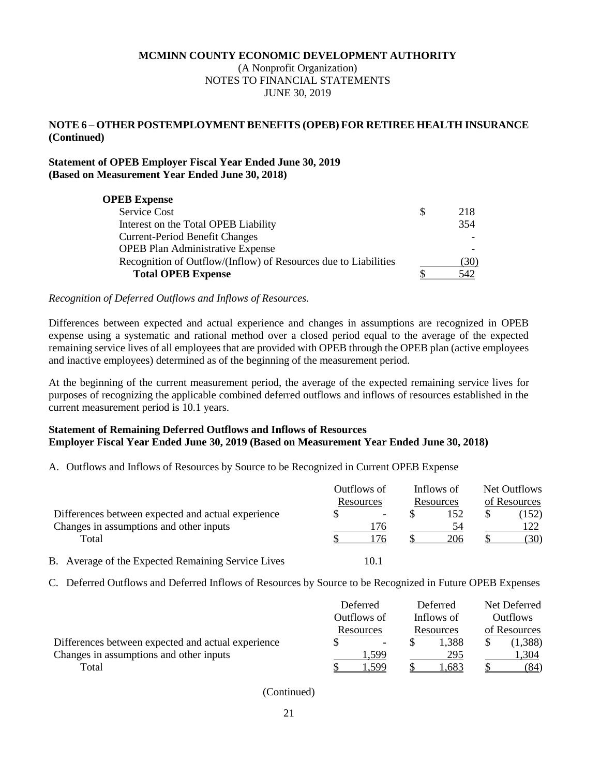### (A Nonprofit Organization) NOTES TO FINANCIAL STATEMENTS JUNE 30, 2019

## **NOTE 6 – OTHER POSTEMPLOYMENT BENEFITS (OPEB) FOR RETIREE HEALTH INSURANCE (Continued)**

#### **Statement of OPEB Employer Fiscal Year Ended June 30, 2019 (Based on Measurement Year Ended June 30, 2018)**

| Service Cost<br>S<br>Interest on the Total OPEB Liability<br><b>Current-Period Benefit Changes</b><br><b>OPEB Plan Administrative Expense</b><br>Recognition of Outflow/(Inflow) of Resources due to Liabilities<br><b>Total OPEB Expense</b> | <b>OPEB Expense</b> |      |
|-----------------------------------------------------------------------------------------------------------------------------------------------------------------------------------------------------------------------------------------------|---------------------|------|
|                                                                                                                                                                                                                                               |                     | 218  |
|                                                                                                                                                                                                                                               |                     | 354  |
|                                                                                                                                                                                                                                               |                     |      |
|                                                                                                                                                                                                                                               |                     |      |
|                                                                                                                                                                                                                                               |                     | (30) |
|                                                                                                                                                                                                                                               |                     |      |

*Recognition of Deferred Outflows and Inflows of Resources.*

Differences between expected and actual experience and changes in assumptions are recognized in OPEB expense using a systematic and rational method over a closed period equal to the average of the expected remaining service lives of all employees that are provided with OPEB through the OPEB plan (active employees and inactive employees) determined as of the beginning of the measurement period.

At the beginning of the current measurement period, the average of the expected remaining service lives for purposes of recognizing the applicable combined deferred outflows and inflows of resources established in the current measurement period is 10.1 years.

#### **Statement of Remaining Deferred Outflows and Inflows of Resources Employer Fiscal Year Ended June 30, 2019 (Based on Measurement Year Ended June 30, 2018)**

A. Outflows and Inflows of Resources by Source to be Recognized in Current OPEB Expense

|                                                    | Outflows of | Inflows of<br>Resources |     | Net Outflows<br>of Resources |       |
|----------------------------------------------------|-------------|-------------------------|-----|------------------------------|-------|
|                                                    | Resources   |                         |     |                              |       |
| Differences between expected and actual experience |             |                         | 152 |                              | (152) |
| Changes in assumptions and other inputs            | 176         |                         | 54  |                              | 122.  |
| Total                                              | 176.        |                         | 206 |                              | (30)  |
| B. Average of the Expected Remaining Service Lives | 10.1        |                         |     |                              |       |

C. Deferred Outflows and Deferred Inflows of Resources by Source to be Recognized in Future OPEB Expenses

|                                                    | Deferred                 |                          | Deferred                |       |              | Net Deferred    |
|----------------------------------------------------|--------------------------|--------------------------|-------------------------|-------|--------------|-----------------|
|                                                    | Outflows of<br>Resources |                          | Inflows of<br>Resources |       |              | <b>Outflows</b> |
|                                                    |                          |                          |                         |       | of Resources |                 |
| Differences between expected and actual experience |                          | $\overline{\phantom{0}}$ |                         | 1,388 | S            | (1,388)         |
| Changes in assumptions and other inputs            |                          | . 599                    |                         | 295   |              | .304            |
| Total                                              |                          | 599                      |                         | .683  |              | 784).           |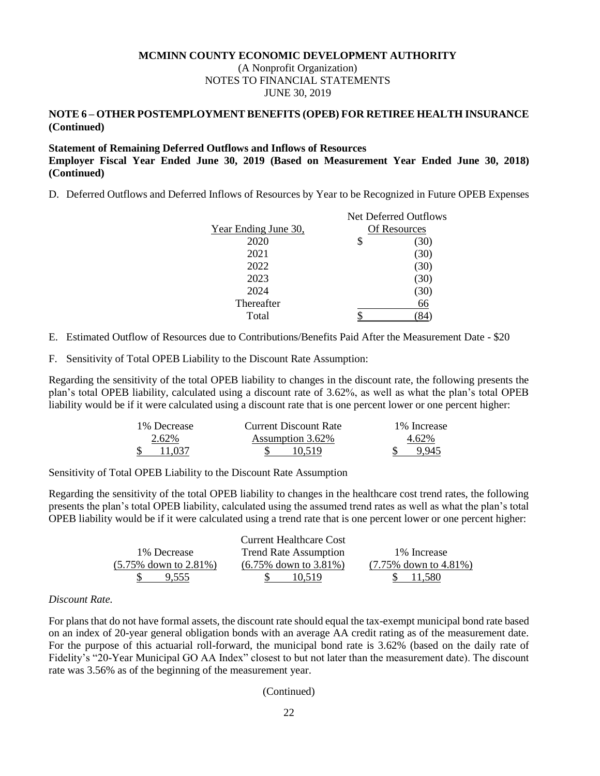#### (A Nonprofit Organization) NOTES TO FINANCIAL STATEMENTS JUNE 30, 2019

### **NOTE 6 – OTHER POSTEMPLOYMENT BENEFITS (OPEB) FOR RETIREE HEALTH INSURANCE (Continued)**

## **Statement of Remaining Deferred Outflows and Inflows of Resources Employer Fiscal Year Ended June 30, 2019 (Based on Measurement Year Ended June 30, 2018) (Continued)**

D. Deferred Outflows and Deferred Inflows of Resources by Year to be Recognized in Future OPEB Expenses

|                      | Net Deferred Outflows |
|----------------------|-----------------------|
| Year Ending June 30, | Of Resources          |
| 2020                 | (30)                  |
| 2021                 | (30)                  |
| 2022                 | (30)                  |
| 2023                 | (30)                  |
| 2024                 | (30)                  |
| Thereafter           | 66                    |
| Total                |                       |
|                      |                       |

- E. Estimated Outflow of Resources due to Contributions/Benefits Paid After the Measurement Date \$20
- F. Sensitivity of Total OPEB Liability to the Discount Rate Assumption:

Regarding the sensitivity of the total OPEB liability to changes in the discount rate, the following presents the plan's total OPEB liability, calculated using a discount rate of 3.62%, as well as what the plan's total OPEB liability would be if it were calculated using a discount rate that is one percent lower or one percent higher:

| 1\% Decrease | Current Discount Rate | 1\% Increase |
|--------------|-----------------------|--------------|
| 2.62%        | Assumption 3.62%      | 4.62%        |
| 11.037       | 10.519                | 9.945        |

Sensitivity of Total OPEB Liability to the Discount Rate Assumption

Regarding the sensitivity of the total OPEB liability to changes in the healthcare cost trend rates, the following presents the plan's total OPEB liability, calculated using the assumed trend rates as well as what the plan's total OPEB liability would be if it were calculated using a trend rate that is one percent lower or one percent higher:

|                             | Current Healthcare Cost      |                             |
|-----------------------------|------------------------------|-----------------------------|
| 1\% Decrease                | <b>Trend Rate Assumption</b> | 1\% Increase                |
| $(5.75\%$ down to $2.81\%)$ | $(6.75\%$ down to 3.81%)     | $(7.75\%$ down to $4.81\%)$ |
| 9.555                       | 10.519                       | 11.580                      |

#### *Discount Rate.*

For plans that do not have formal assets, the discount rate should equal the tax-exempt municipal bond rate based on an index of 20-year general obligation bonds with an average AA credit rating as of the measurement date. For the purpose of this actuarial roll-forward, the municipal bond rate is 3.62% (based on the daily rate of Fidelity's "20-Year Municipal GO AA Index" closest to but not later than the measurement date). The discount rate was 3.56% as of the beginning of the measurement year.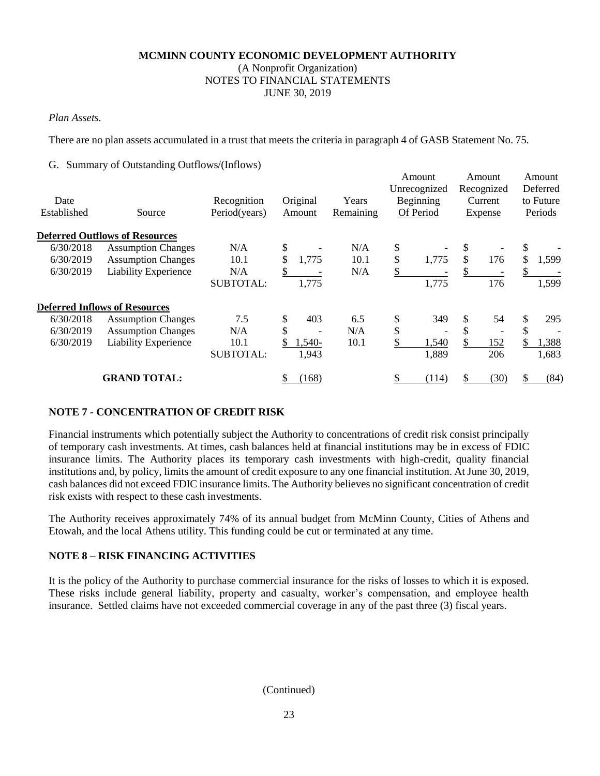#### (A Nonprofit Organization) NOTES TO FINANCIAL STATEMENTS JUNE 30, 2019

### *Plan Assets.*

There are no plan assets accumulated in a trust that meets the criteria in paragraph 4 of GASB Statement No. 75.

### G. Summary of Outstanding Outflows/(Inflows)

| Date<br>Established | Source                                | Recognition<br>Period(years) | Original<br>Amount | Years<br>Remaining | Amount<br>Unrecognized<br>Beginning<br>Of Period | Amount<br>Recognized<br>Current<br><b>Expense</b> | Amount<br>Deferred<br>to Future<br>Periods |
|---------------------|---------------------------------------|------------------------------|--------------------|--------------------|--------------------------------------------------|---------------------------------------------------|--------------------------------------------|
|                     | <b>Deferred Outflows of Resources</b> |                              |                    |                    |                                                  |                                                   |                                            |
| 6/30/2018           | <b>Assumption Changes</b>             | N/A                          | \$                 | N/A                | \$                                               | \$                                                | \$                                         |
| 6/30/2019           | <b>Assumption Changes</b>             | 10.1                         | \$<br>1,775        | 10.1               | \$<br>1,775                                      | 176                                               | \$<br>1,599                                |
| 6/30/2019           | <b>Liability Experience</b>           | N/A                          |                    | N/A                |                                                  |                                                   |                                            |
|                     |                                       | <b>SUBTOTAL:</b>             | 1,775              |                    | 1,775                                            | 176                                               | 1,599                                      |
|                     | <b>Deferred Inflows of Resources</b>  |                              |                    |                    |                                                  |                                                   |                                            |
| 6/30/2018           | <b>Assumption Changes</b>             | 7.5                          | \$<br>403          | 6.5                | \$<br>349                                        | 54                                                | \$<br>295                                  |
| 6/30/2019           | <b>Assumption Changes</b>             | N/A                          |                    | N/A                | \$                                               |                                                   | \$                                         |
| 6/30/2019           | <b>Liability Experience</b>           | 10.1                         | 1,540-             | 10.1               | 1,540                                            | 152                                               | 1,388                                      |
|                     |                                       | <b>SUBTOTAL:</b>             | 1,943              |                    | 1,889                                            | 206                                               | 1,683                                      |
|                     | <b>GRAND TOTAL:</b>                   |                              | (168)              |                    | (114)                                            | (30)                                              | (84)                                       |

## **NOTE 7 - CONCENTRATION OF CREDIT RISK**

Financial instruments which potentially subject the Authority to concentrations of credit risk consist principally of temporary cash investments. At times, cash balances held at financial institutions may be in excess of FDIC insurance limits. The Authority places its temporary cash investments with high-credit, quality financial institutions and, by policy, limits the amount of credit exposure to any one financial institution. At June 30, 2019, cash balances did not exceed FDIC insurance limits. The Authority believes no significant concentration of credit risk exists with respect to these cash investments.

The Authority receives approximately 74% of its annual budget from McMinn County, Cities of Athens and Etowah, and the local Athens utility. This funding could be cut or terminated at any time.

## **NOTE 8 – RISK FINANCING ACTIVITIES**

It is the policy of the Authority to purchase commercial insurance for the risks of losses to which it is exposed. These risks include general liability, property and casualty, worker's compensation, and employee health insurance. Settled claims have not exceeded commercial coverage in any of the past three (3) fiscal years.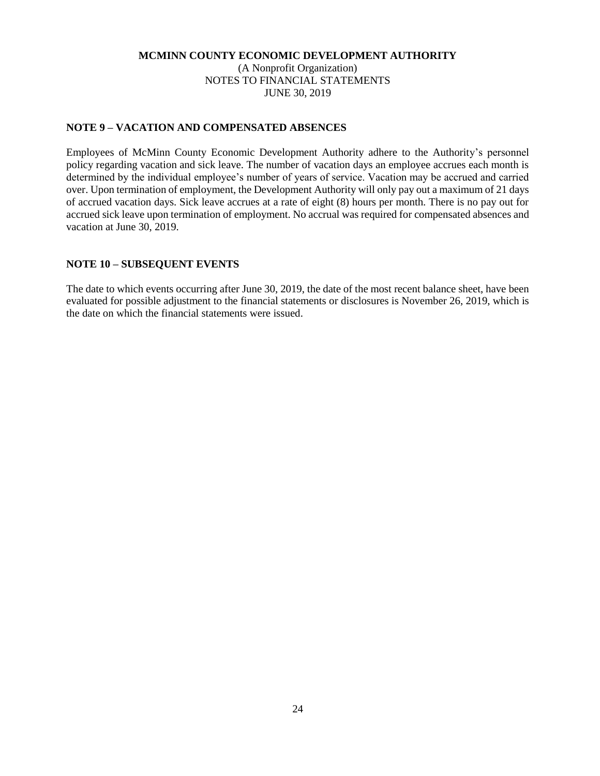(A Nonprofit Organization) NOTES TO FINANCIAL STATEMENTS JUNE 30, 2019

#### **NOTE 9 – VACATION AND COMPENSATED ABSENCES**

Employees of McMinn County Economic Development Authority adhere to the Authority's personnel policy regarding vacation and sick leave. The number of vacation days an employee accrues each month is determined by the individual employee's number of years of service. Vacation may be accrued and carried over. Upon termination of employment, the Development Authority will only pay out a maximum of 21 days of accrued vacation days. Sick leave accrues at a rate of eight (8) hours per month. There is no pay out for accrued sick leave upon termination of employment. No accrual was required for compensated absences and vacation at June 30, 2019.

## **NOTE 10 – SUBSEQUENT EVENTS**

The date to which events occurring after June 30, 2019, the date of the most recent balance sheet, have been evaluated for possible adjustment to the financial statements or disclosures is November 26, 2019, which is the date on which the financial statements were issued.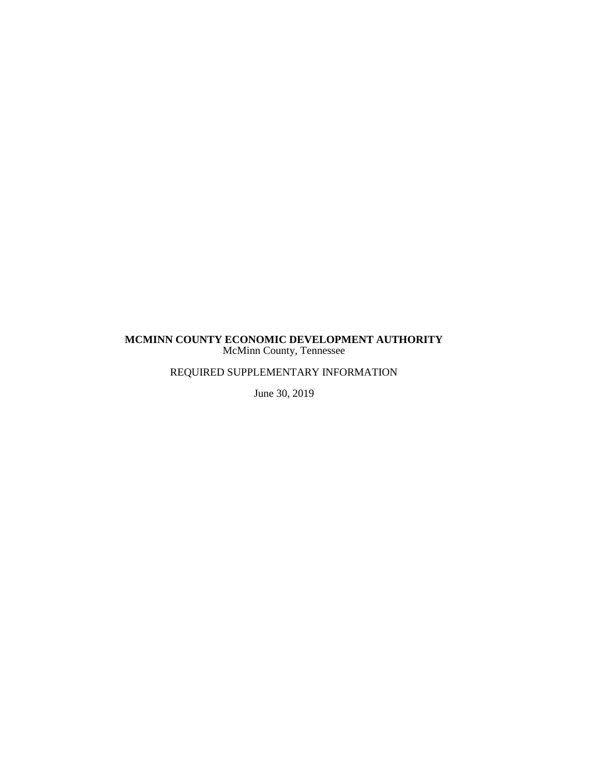## **MCMINN COUNTY ECONOMIC DEVELOPMENT AUTHORITY** McMinn County, Tennessee

REQUIRED SUPPLEMENTARY INFORMATION

June 30, 2019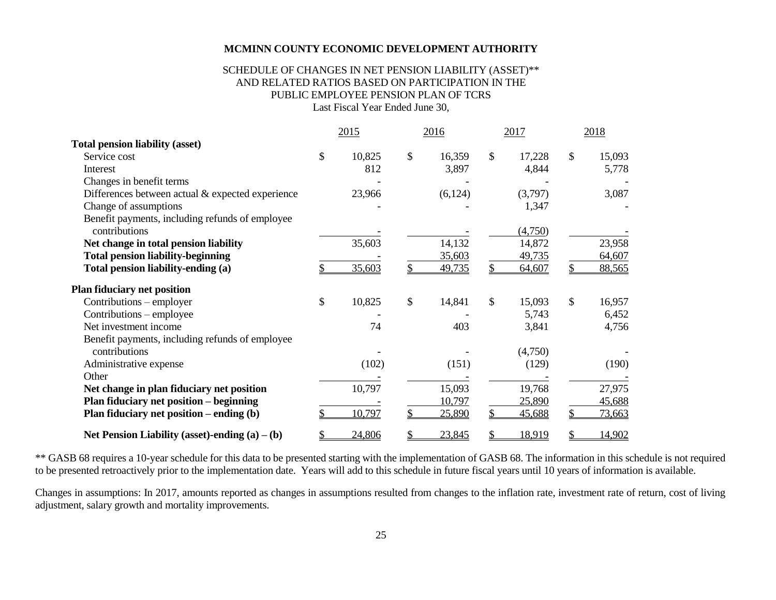## SCHEDULE OF CHANGES IN NET PENSION LIABILITY (ASSET)\*\* AND RELATED RATIOS BASED ON PARTICIPATION IN THE PUBLIC EMPLOYEE PENSION PLAN OF TCRS Last Fiscal Year Ended June 30,

|                                                     | 2015         | 2016         |              | 2017    |              | 2018   |
|-----------------------------------------------------|--------------|--------------|--------------|---------|--------------|--------|
| <b>Total pension liability (asset)</b>              |              |              |              |         |              |        |
| Service cost                                        | \$<br>10,825 | \$<br>16,359 | $\mathbb{S}$ | 17,228  | $\mathbb{S}$ | 15,093 |
| Interest                                            | 812          | 3,897        |              | 4,844   |              | 5,778  |
| Changes in benefit terms                            |              |              |              |         |              |        |
| Differences between actual $\&$ expected experience | 23,966       | (6,124)      |              | (3,797) |              | 3,087  |
| Change of assumptions                               |              |              |              | 1,347   |              |        |
| Benefit payments, including refunds of employee     |              |              |              |         |              |        |
| contributions                                       |              |              |              | (4,750) |              |        |
| Net change in total pension liability               | 35,603       | 14,132       |              | 14,872  |              | 23,958 |
| <b>Total pension liability-beginning</b>            |              | 35,603       |              | 49,735  |              | 64,607 |
| Total pension liability-ending (a)                  | 35,603       | 49,735       |              | 64,607  |              | 88,565 |
| <b>Plan fiduciary net position</b>                  |              |              |              |         |              |        |
| Contributions – employer                            | \$<br>10,825 | \$<br>14,841 | \$           | 15,093  | $\mathbb{S}$ | 16,957 |
| Contributions - employee                            |              |              |              | 5,743   |              | 6,452  |
| Net investment income                               | 74           | 403          |              | 3,841   |              | 4,756  |
| Benefit payments, including refunds of employee     |              |              |              |         |              |        |
| contributions                                       |              |              |              | (4,750) |              |        |
| Administrative expense                              | (102)        | (151)        |              | (129)   |              | (190)  |
| Other                                               |              |              |              |         |              |        |
| Net change in plan fiduciary net position           | 10,797       | 15,093       |              | 19,768  |              | 27,975 |
| Plan fiduciary net position - beginning             |              | 10,797       |              | 25,890  |              | 45,688 |
| Plan fiduciary net position – ending (b)            | 10,797       | 25,890       |              | 45,688  |              | 73,663 |
| Net Pension Liability (asset)-ending $(a) - (b)$    | 24,806       | 23,845       |              | 18,919  |              | 14,902 |

\*\* GASB 68 requires a 10-year schedule for this data to be presented starting with the implementation of GASB 68. The information in this schedule is not required to be presented retroactively prior to the implementation date. Years will add to this schedule in future fiscal years until 10 years of information is available.

Changes in assumptions: In 2017, amounts reported as changes in assumptions resulted from changes to the inflation rate, investment rate of return, cost of living adjustment, salary growth and mortality improvements.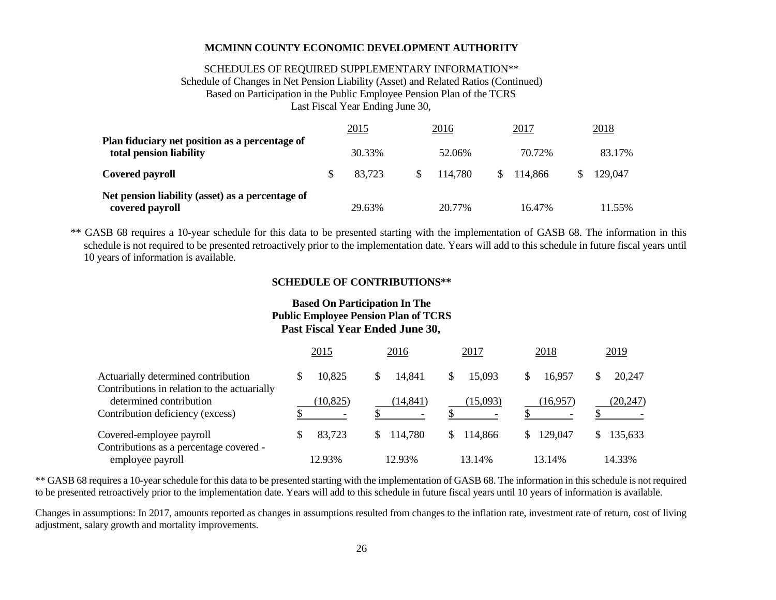#### SCHEDULES OF REQUIRED SUPPLEMENTARY INFORMATION\*\*

#### Schedule of Changes in Net Pension Liability (Asset) and Related Ratios (Continued) Based on Participation in the Public Employee Pension Plan of the TCRS Last Fiscal Year Ending June 30,

|                                                                           | 2015   |               | <u>2016</u> | 2017    | <u>2018</u> |
|---------------------------------------------------------------------------|--------|---------------|-------------|---------|-------------|
| Plan fiduciary net position as a percentage of<br>total pension liability | 30.33% |               | 52.06%      | 70.72%  | 83.17%      |
| <b>Covered payroll</b>                                                    | 83,723 | <sup>\$</sup> | 114.780     | 114.866 | 129,047     |
| Net pension liability (asset) as a percentage of<br>covered payroll       | 29.63% |               | 20.77%      | 16.47%  | 11.55%      |

\*\* GASB 68 requires a 10-year schedule for this data to be presented starting with the implementation of GASB 68. The information in this schedule is not required to be presented retroactively prior to the implementation date. Years will add to this schedule in future fiscal years until 10 years of information is available.

#### **SCHEDULE OF CONTRIBUTIONS\*\***

## **Based On Participation In The Public Employee Pension Plan of TCRS Past Fiscal Year Ended June 30,**

|                                                                                                             | 2015        | 2016           | 2017          | 2018          | 2019          |
|-------------------------------------------------------------------------------------------------------------|-------------|----------------|---------------|---------------|---------------|
| Actuarially determined contribution                                                                         | 10,825<br>S | 14,841<br>\$.  | 15,093<br>\$  | 16,957        | 20,247<br>\$  |
| Contributions in relation to the actuarially<br>determined contribution<br>Contribution deficiency (excess) | (10, 825)   | (14, 841)      | (15,093)      | (16,957)      | (20, 247)     |
| Covered-employee payroll<br>Contributions as a percentage covered -                                         | 83.723      | 114,780<br>SS. | 114,866<br>S. | 129,047<br>S. | 135,633<br>\$ |
| employee payroll                                                                                            | 12.93%      | 12.93%         | 13.14%        | 13.14%        | 14.33%        |

\*\* GASB 68 requires a 10-year schedule for this data to be presented starting with the implementation of GASB 68. The information in this schedule is not required to be presented retroactively prior to the implementation date. Years will add to this schedule in future fiscal years until 10 years of information is available.

Changes in assumptions: In 2017, amounts reported as changes in assumptions resulted from changes to the inflation rate, investment rate of return, cost of living adjustment, salary growth and mortality improvements.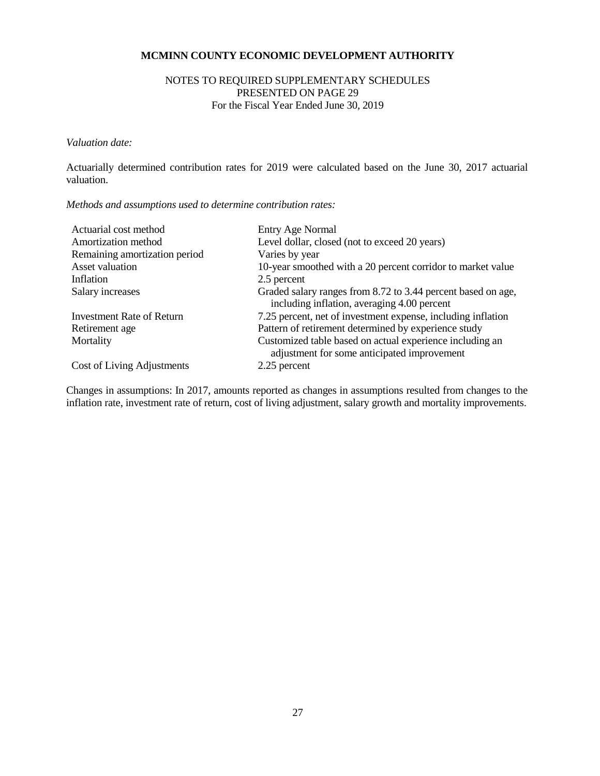## NOTES TO REQUIRED SUPPLEMENTARY SCHEDULES PRESENTED ON PAGE 29 For the Fiscal Year Ended June 30, 2019

#### *Valuation date:*

Actuarially determined contribution rates for 2019 were calculated based on the June 30, 2017 actuarial valuation.

#### *Methods and assumptions used to determine contribution rates:*

| Actuarial cost method            | <b>Entry Age Normal</b>                                                                                     |
|----------------------------------|-------------------------------------------------------------------------------------------------------------|
| Amortization method              | Level dollar, closed (not to exceed 20 years)                                                               |
| Remaining amortization period    | Varies by year                                                                                              |
| Asset valuation                  | 10-year smoothed with a 20 percent corridor to market value                                                 |
| Inflation                        | 2.5 percent                                                                                                 |
| Salary increases                 | Graded salary ranges from 8.72 to 3.44 percent based on age,<br>including inflation, averaging 4.00 percent |
| <b>Investment Rate of Return</b> | 7.25 percent, net of investment expense, including inflation                                                |
| Retirement age                   | Pattern of retirement determined by experience study                                                        |
| Mortality                        | Customized table based on actual experience including an<br>adjustment for some anticipated improvement     |
| Cost of Living Adjustments       | 2.25 percent                                                                                                |

Changes in assumptions: In 2017, amounts reported as changes in assumptions resulted from changes to the inflation rate, investment rate of return, cost of living adjustment, salary growth and mortality improvements.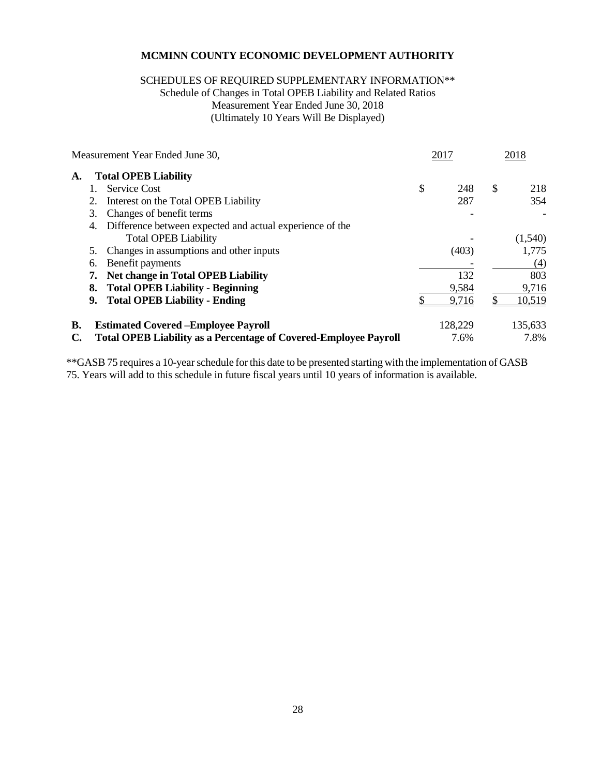## SCHEDULES OF REQUIRED SUPPLEMENTARY INFORMATION\*\* Schedule of Changes in Total OPEB Liability and Related Ratios Measurement Year Ended June 30, 2018 (Ultimately 10 Years Will Be Displayed)

| Measurement Year Ended June 30,                                               | 2017 | 2018               |
|-------------------------------------------------------------------------------|------|--------------------|
| <b>Total OPEB Liability</b><br>A.                                             |      |                    |
| <b>Service Cost</b><br>1.                                                     | \$   | \$<br>218<br>248   |
| Interest on the Total OPEB Liability<br>2.                                    |      | 287<br>354         |
| 3. Changes of benefit terms                                                   |      |                    |
| Difference between expected and actual experience of the<br>4.                |      |                    |
| <b>Total OPEB Liability</b>                                                   |      | (1,540)            |
| Changes in assumptions and other inputs<br>5.                                 |      | 1,775<br>(403)     |
| Benefit payments<br>6.                                                        |      | (4)                |
| <b>Net change in Total OPEB Liability</b>                                     |      | 132<br>803         |
| <b>Total OPEB Liability - Beginning</b><br>8.                                 |      | 9,584<br>9,716     |
| <b>Total OPEB Liability - Ending</b><br>9.                                    |      | 10,519<br>9,716    |
| В.<br><b>Estimated Covered – Employee Payroll</b>                             |      | 128,229<br>135,633 |
| <b>Total OPEB Liability as a Percentage of Covered-Employee Payroll</b><br>C. |      | 7.8%<br>7.6%       |

\*\*GASB 75 requires a 10-year schedule for this date to be presented starting with the implementation of GASB 75. Years will add to this schedule in future fiscal years until 10 years of information is available.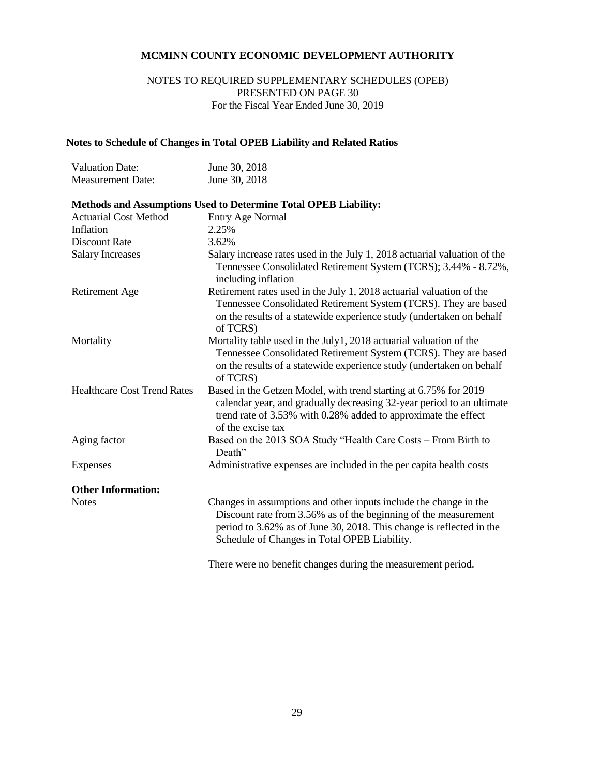## NOTES TO REQUIRED SUPPLEMENTARY SCHEDULES (OPEB) PRESENTED ON PAGE 30 For the Fiscal Year Ended June 30, 2019

## **Notes to Schedule of Changes in Total OPEB Liability and Related Ratios**

| <b>Valuation Date:</b>             | June 30, 2018                                                                                                                                                                                                                                                |
|------------------------------------|--------------------------------------------------------------------------------------------------------------------------------------------------------------------------------------------------------------------------------------------------------------|
| <b>Measurement Date:</b>           | June 30, 2018                                                                                                                                                                                                                                                |
|                                    | Methods and Assumptions Used to Determine Total OPEB Liability:                                                                                                                                                                                              |
| <b>Actuarial Cost Method</b>       | <b>Entry Age Normal</b>                                                                                                                                                                                                                                      |
| Inflation                          | 2.25%                                                                                                                                                                                                                                                        |
| <b>Discount Rate</b>               | 3.62%                                                                                                                                                                                                                                                        |
| <b>Salary Increases</b>            | Salary increase rates used in the July 1, 2018 actuarial valuation of the<br>Tennessee Consolidated Retirement System (TCRS); 3.44% - 8.72%,<br>including inflation                                                                                          |
| <b>Retirement Age</b>              | Retirement rates used in the July 1, 2018 actuarial valuation of the<br>Tennessee Consolidated Retirement System (TCRS). They are based<br>on the results of a statewide experience study (undertaken on behalf<br>of TCRS)                                  |
| Mortality                          | Mortality table used in the July1, 2018 actuarial valuation of the<br>Tennessee Consolidated Retirement System (TCRS). They are based<br>on the results of a statewide experience study (undertaken on behalf<br>of TCRS)                                    |
| <b>Healthcare Cost Trend Rates</b> | Based in the Getzen Model, with trend starting at 6.75% for 2019<br>calendar year, and gradually decreasing 32-year period to an ultimate<br>trend rate of 3.53% with 0.28% added to approximate the effect<br>of the excise tax                             |
| Aging factor                       | Based on the 2013 SOA Study "Health Care Costs – From Birth to<br>Death"                                                                                                                                                                                     |
| <b>Expenses</b>                    | Administrative expenses are included in the per capita health costs                                                                                                                                                                                          |
| <b>Other Information:</b>          |                                                                                                                                                                                                                                                              |
| <b>Notes</b>                       | Changes in assumptions and other inputs include the change in the<br>Discount rate from 3.56% as of the beginning of the measurement<br>period to 3.62% as of June 30, 2018. This change is reflected in the<br>Schedule of Changes in Total OPEB Liability. |
|                                    | There were no benefit changes during the measurement period.                                                                                                                                                                                                 |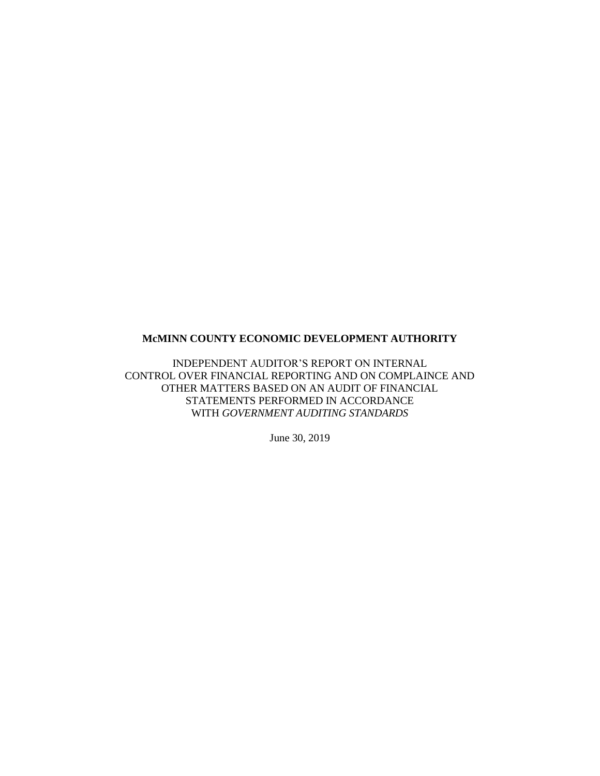INDEPENDENT AUDITOR'S REPORT ON INTERNAL CONTROL OVER FINANCIAL REPORTING AND ON COMPLAINCE AND OTHER MATTERS BASED ON AN AUDIT OF FINANCIAL STATEMENTS PERFORMED IN ACCORDANCE WITH *GOVERNMENT AUDITING STANDARDS*

June 30, 2019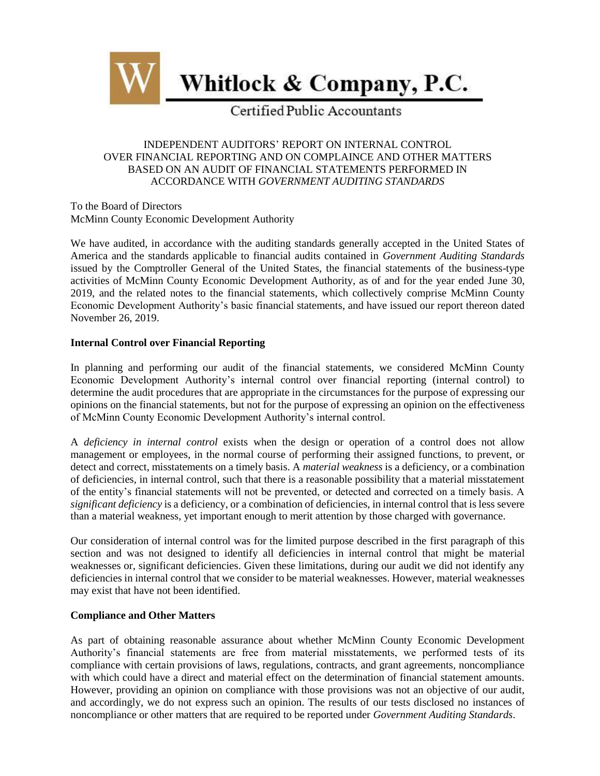

Whitlock & Company, P.C.

## Certified Public Accountants

## INDEPENDENT AUDITORS' REPORT ON INTERNAL CONTROL OVER FINANCIAL REPORTING AND ON COMPLAINCE AND OTHER MATTERS BASED ON AN AUDIT OF FINANCIAL STATEMENTS PERFORMED IN ACCORDANCE WITH *GOVERNMENT AUDITING STANDARDS*

To the Board of Directors McMinn County Economic Development Authority

We have audited, in accordance with the auditing standards generally accepted in the United States of America and the standards applicable to financial audits contained in *Government Auditing Standards* issued by the Comptroller General of the United States, the financial statements of the business-type activities of McMinn County Economic Development Authority, as of and for the year ended June 30, 2019, and the related notes to the financial statements, which collectively comprise McMinn County Economic Development Authority's basic financial statements, and have issued our report thereon dated November 26, 2019.

## **Internal Control over Financial Reporting**

In planning and performing our audit of the financial statements, we considered McMinn County Economic Development Authority's internal control over financial reporting (internal control) to determine the audit procedures that are appropriate in the circumstances for the purpose of expressing our opinions on the financial statements, but not for the purpose of expressing an opinion on the effectiveness of McMinn County Economic Development Authority's internal control.

A *deficiency in internal control* exists when the design or operation of a control does not allow management or employees, in the normal course of performing their assigned functions, to prevent, or detect and correct, misstatements on a timely basis. A *material weakness* is a deficiency, or a combination of deficiencies, in internal control, such that there is a reasonable possibility that a material misstatement of the entity's financial statements will not be prevented, or detected and corrected on a timely basis. A *significant deficiency* is a deficiency, or a combination of deficiencies, in internal control that is less severe than a material weakness, yet important enough to merit attention by those charged with governance.

Our consideration of internal control was for the limited purpose described in the first paragraph of this section and was not designed to identify all deficiencies in internal control that might be material weaknesses or, significant deficiencies. Given these limitations, during our audit we did not identify any deficiencies in internal control that we consider to be material weaknesses. However, material weaknesses may exist that have not been identified.

## **Compliance and Other Matters**

As part of obtaining reasonable assurance about whether McMinn County Economic Development Authority's financial statements are free from material misstatements, we performed tests of its compliance with certain provisions of laws, regulations, contracts, and grant agreements, noncompliance with which could have a direct and material effect on the determination of financial statement amounts. However, providing an opinion on compliance with those provisions was not an objective of our audit, and accordingly, we do not express such an opinion. The results of our tests disclosed no instances of noncompliance or other matters that are required to be reported under *Government Auditing Standards*.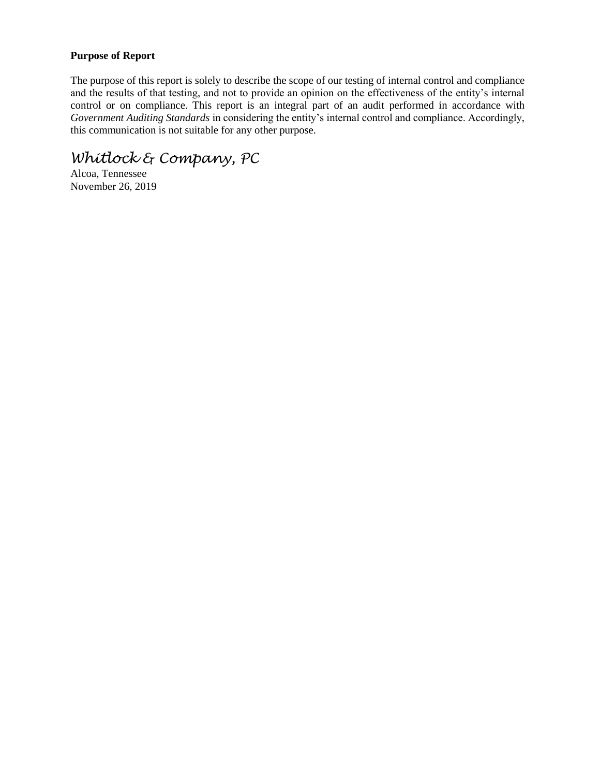## **Purpose of Report**

The purpose of this report is solely to describe the scope of our testing of internal control and compliance and the results of that testing, and not to provide an opinion on the effectiveness of the entity's internal control or on compliance. This report is an integral part of an audit performed in accordance with *Government Auditing Standards* in considering the entity's internal control and compliance. Accordingly, this communication is not suitable for any other purpose.

# *Whitlock & Company, PC*

Alcoa, Tennessee November 26, 2019